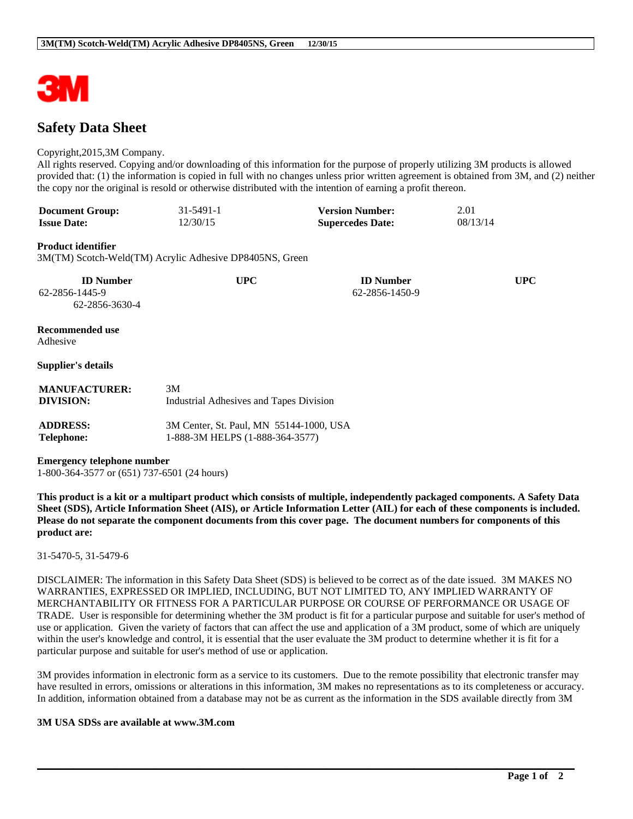

# **Safety Data Sheet**

### Copyright,2015,3M Company.

All rights reserved. Copying and/or downloading of this information for the purpose of properly utilizing 3M products is allowed provided that: (1) the information is copied in full with no changes unless prior written agreement is obtained from 3M, and (2) neither the copy nor the original is resold or otherwise distributed with the intention of earning a profit thereon.

| <b>Document Group:</b> | 31-5491-1 | <b>Version Number:</b>  | 2.01     |
|------------------------|-----------|-------------------------|----------|
| <b>Issue Date:</b>     | 12/30/15  | <b>Supercedes Date:</b> | 08/13/14 |

### **Product identifier**

3M(TM) Scotch-Weld(TM) Acrylic Adhesive DP8405NS, Green

| <b>ID</b> Number | UPC | <b>ID</b> Number | UPC |
|------------------|-----|------------------|-----|
| 62-2856-1445-9   |     | 62-2856-1450-9   |     |
| 62-2856-3630-4   |     |                  |     |

## **Recommended use**

Adhesive

### **Supplier's details**

| <b>MANUFACTURER:</b> | 3M                                      |
|----------------------|-----------------------------------------|
| DIVISION:            | Industrial Adhesives and Tapes Division |
| <b>ADDRESS:</b>      | 3M Center, St. Paul, MN 55144-1000, USA |
| Telephone:           | 1-888-3M HELPS (1-888-364-3577)         |

#### **Emergency telephone number**

1-800-364-3577 or (651) 737-6501 (24 hours)

**This product is a kit or a multipart product which consists of multiple, independently packaged components. A Safety Data Sheet (SDS), Article Information Sheet (AIS), or Article Information Letter (AIL) for each of these components is included. Please do not separate the component documents from this cover page. The document numbers for components of this product are:** 

### 31-5470-5, 31-5479-6

DISCLAIMER: The information in this Safety Data Sheet (SDS) is believed to be correct as of the date issued. 3M MAKES NO WARRANTIES, EXPRESSED OR IMPLIED, INCLUDING, BUT NOT LIMITED TO, ANY IMPLIED WARRANTY OF MERCHANTABILITY OR FITNESS FOR A PARTICULAR PURPOSE OR COURSE OF PERFORMANCE OR USAGE OF TRADE. User is responsible for determining whether the 3M product is fit for a particular purpose and suitable for user's method of use or application. Given the variety of factors that can affect the use and application of a 3M product, some of which are uniquely within the user's knowledge and control, it is essential that the user evaluate the 3M product to determine whether it is fit for a particular purpose and suitable for user's method of use or application.

3M provides information in electronic form as a service to its customers. Due to the remote possibility that electronic transfer may have resulted in errors, omissions or alterations in this information, 3M makes no representations as to its completeness or accuracy. In addition, information obtained from a database may not be as current as the information in the SDS available directly from 3M

**\_\_\_\_\_\_\_\_\_\_\_\_\_\_\_\_\_\_\_\_\_\_\_\_\_\_\_\_\_\_\_\_\_\_\_\_\_\_\_\_\_\_\_\_\_\_\_\_\_\_\_\_\_\_\_\_\_\_\_\_\_\_\_\_\_\_\_\_\_\_\_\_\_\_\_\_\_\_\_\_\_\_\_\_\_\_\_\_\_\_\_\_\_\_\_\_\_\_\_\_\_\_\_\_**

### **3M USA SDSs are available at www.3M.com**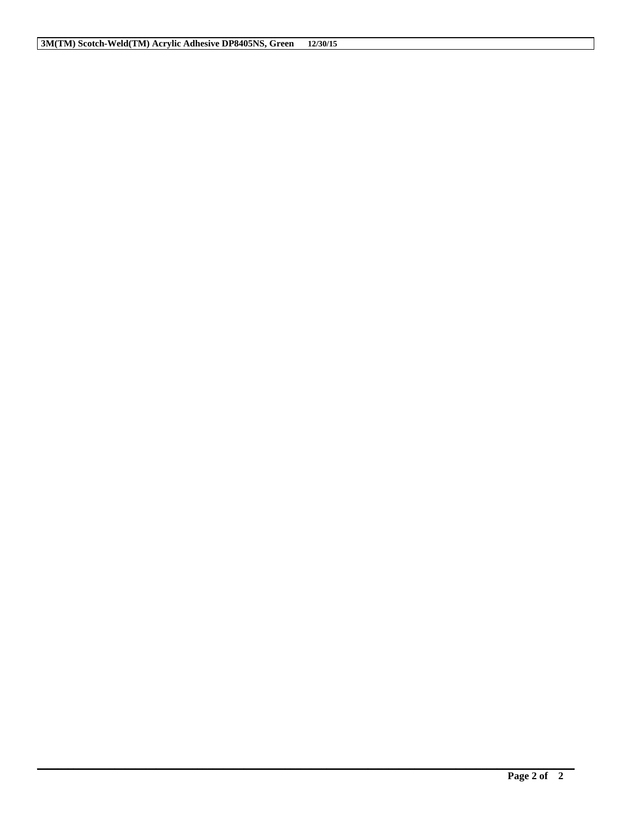**\_\_\_\_\_\_\_\_\_\_\_\_\_\_\_\_\_\_\_\_\_\_\_\_\_\_\_\_\_\_\_\_\_\_\_\_\_\_\_\_\_\_\_\_\_\_\_\_\_\_\_\_\_\_\_\_\_\_\_\_\_\_\_\_\_\_\_\_\_\_\_\_\_\_\_\_\_\_\_\_\_\_\_\_\_\_\_\_\_\_\_\_\_\_\_\_\_\_\_\_\_\_\_\_**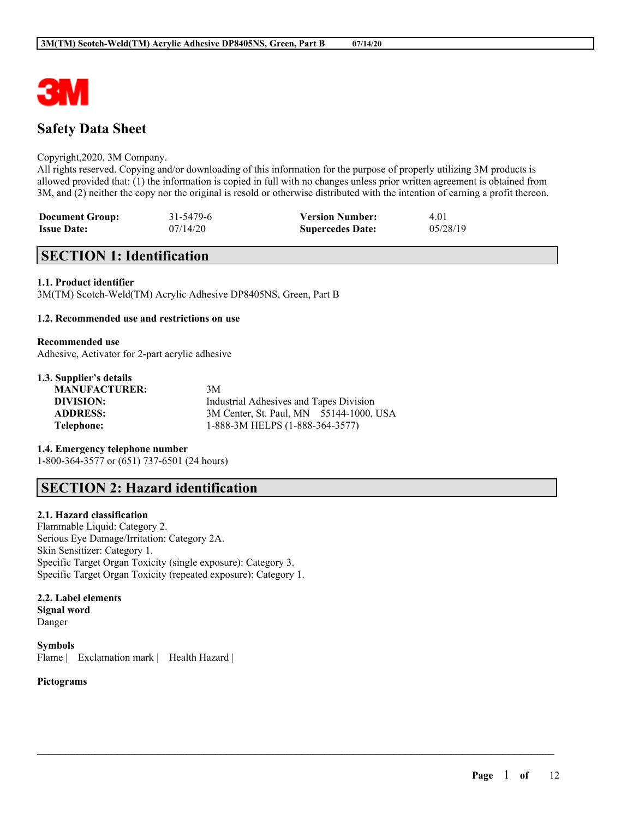

# **Safety Data Sheet**

### Copyright,2020, 3M Company.

All rights reserved. Copying and/or downloading of this information for the purpose of properly utilizing 3M products is allowed provided that: (1) the information is copied in full with no changes unless prior written agreement is obtained from 3M, and (2) neither the copy nor the original is resold or otherwise distributed with the intention of earning a profit thereon.

| <b>Document Group:</b> | 31-5479-6 | <b>Version Number:</b>  | 4.01     |
|------------------------|-----------|-------------------------|----------|
| <b>Issue Date:</b>     | 07/14/20  | <b>Supercedes Date:</b> | 05/28/19 |

# **SECTION 1: Identification**

### **1.1. Product identifier**

3M(TM) Scotch-Weld(TM) Acrylic Adhesive DP8405NS, Green, Part B

### **1.2. Recommended use and restrictions on use**

### **Recommended use**

Adhesive, Activator for 2-part acrylic adhesive

### **1.3. Supplier's details**

**MANUFACTURER:** 3M

**DIVISION:** Industrial Adhesives and Tapes Division **ADDRESS:** 3M Center, St. Paul, MN 55144-1000, USA **Telephone:** 1-888-3M HELPS (1-888-364-3577)

 $\mathcal{L}_\mathcal{L} = \mathcal{L}_\mathcal{L} = \mathcal{L}_\mathcal{L} = \mathcal{L}_\mathcal{L} = \mathcal{L}_\mathcal{L} = \mathcal{L}_\mathcal{L} = \mathcal{L}_\mathcal{L} = \mathcal{L}_\mathcal{L} = \mathcal{L}_\mathcal{L} = \mathcal{L}_\mathcal{L} = \mathcal{L}_\mathcal{L} = \mathcal{L}_\mathcal{L} = \mathcal{L}_\mathcal{L} = \mathcal{L}_\mathcal{L} = \mathcal{L}_\mathcal{L} = \mathcal{L}_\mathcal{L} = \mathcal{L}_\mathcal{L}$ 

### **1.4. Emergency telephone number**

1-800-364-3577 or (651) 737-6501 (24 hours)

# **SECTION 2: Hazard identification**

### **2.1. Hazard classification**

Flammable Liquid: Category 2. Serious Eye Damage/Irritation: Category 2A. Skin Sensitizer: Category 1. Specific Target Organ Toxicity (single exposure): Category 3. Specific Target Organ Toxicity (repeated exposure): Category 1.

## **2.2. Label elements Signal word**

Danger

**Symbols** Flame | Exclamation mark | Health Hazard |

### **Pictograms**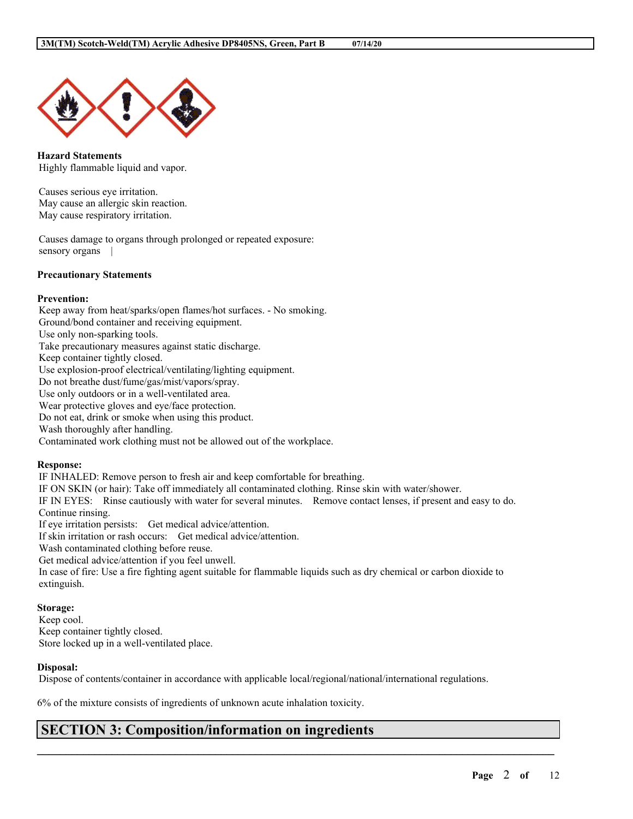

**Hazard Statements** Highly flammable liquid and vapor.

Causes serious eye irritation. May cause an allergic skin reaction. May cause respiratory irritation.

Causes damage to organs through prolonged or repeated exposure: sensory organs |

### **Precautionary Statements**

### **Prevention:**

Keep away from heat/sparks/open flames/hot surfaces. - No smoking. Ground/bond container and receiving equipment. Use only non-sparking tools. Take precautionary measures against static discharge. Keep container tightly closed. Use explosion-proof electrical/ventilating/lighting equipment. Do not breathe dust/fume/gas/mist/vapors/spray. Use only outdoors or in a well-ventilated area. Wear protective gloves and eye/face protection. Do not eat, drink or smoke when using this product. Wash thoroughly after handling. Contaminated work clothing must not be allowed out of the workplace. **Response:**

IF INHALED: Remove person to fresh air and keep comfortable for breathing. IF ON SKIN (or hair): Take off immediately all contaminated clothing. Rinse skin with water/shower. IF IN EYES: Rinse cautiously with water for several minutes. Remove contact lenses, if present and easy to do. Continue rinsing. If eye irritation persists: Get medical advice/attention. If skin irritation or rash occurs: Get medical advice/attention. Wash contaminated clothing before reuse. Get medical advice/attention if you feel unwell. In case of fire: Use a fire fighting agent suitable for flammable liquids such as dry chemical or carbon dioxide to extinguish.

### **Storage:**

Keep cool. Keep container tightly closed. Store locked up in a well-ventilated place.

### **Disposal:**

Dispose of contents/container in accordance with applicable local/regional/national/international regulations.

 $\mathcal{L}_\mathcal{L} = \mathcal{L}_\mathcal{L} = \mathcal{L}_\mathcal{L} = \mathcal{L}_\mathcal{L} = \mathcal{L}_\mathcal{L} = \mathcal{L}_\mathcal{L} = \mathcal{L}_\mathcal{L} = \mathcal{L}_\mathcal{L} = \mathcal{L}_\mathcal{L} = \mathcal{L}_\mathcal{L} = \mathcal{L}_\mathcal{L} = \mathcal{L}_\mathcal{L} = \mathcal{L}_\mathcal{L} = \mathcal{L}_\mathcal{L} = \mathcal{L}_\mathcal{L} = \mathcal{L}_\mathcal{L} = \mathcal{L}_\mathcal{L}$ 

6% of the mixture consists of ingredients of unknown acute inhalation toxicity.

# **SECTION 3: Composition/information on ingredients**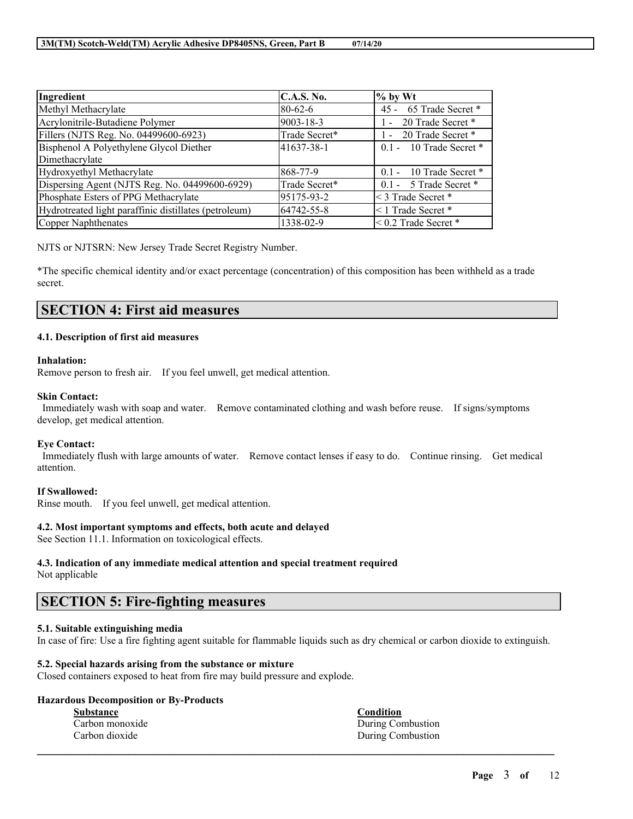| Ingredient                                            | C.A.S. No.      | $%$ by Wt                   |
|-------------------------------------------------------|-----------------|-----------------------------|
| Methyl Methacrylate                                   | 80-62-6         | 45 - 65 Trade Secret *      |
| Acrylonitrile-Butadiene Polymer                       | $9003 - 18 - 3$ | 20 Trade Secret *<br>$\sim$ |
| Fillers (NJTS Reg. No. 04499600-6923)                 | Trade Secret*   | 20 Trade Secret *<br>$\sim$ |
| Bisphenol A Polyethylene Glycol Diether               | 41637-38-1      | 0.1 - 10 Trade Secret *     |
| Dimethacrylate                                        |                 |                             |
| Hydroxyethyl Methacrylate                             | 868-77-9        | 0.1 - 10 Trade Secret *     |
| Dispersing Agent (NJTS Reg. No. 04499600-6929)        | Trade Secret*   | 0.1 - 5 Trade Secret *      |
| Phosphate Esters of PPG Methacrylate                  | 95175-93-2      | $\leq$ 3 Trade Secret *     |
| Hydrotreated light paraffinic distillates (petroleum) | 64742-55-8      | <1 Trade Secret *           |
| Copper Naphthenates                                   | 1338-02-9       | $< 0.2$ Trade Secret $*$    |

NJTS or NJTSRN: New Jersey Trade Secret Registry Number.

\*The specific chemical identity and/or exact percentage (concentration) of this composition has been withheld as a trade secret.

## **SECTION 4: First aid measures**

### **4.1. Description of first aid measures**

### **Inhalation:**

Remove person to fresh air. If you feel unwell, get medical attention.

### **Skin Contact:**

Immediately wash with soap and water. Remove contaminated clothing and wash before reuse. If signs/symptoms develop, get medical attention.

### **Eye Contact:**

Immediately flush with large amounts of water. Remove contact lenses if easy to do. Continue rinsing. Get medical attention.

### **If Swallowed:**

Rinse mouth. If you feel unwell, get medical attention.

### **4.2. Most important symptoms and effects, both acute and delayed**

See Section 11.1. Information on toxicological effects.

### **4.3. Indication of any immediate medical attention and special treatment required**

Not applicable

# **SECTION 5: Fire-fighting measures**

### **5.1. Suitable extinguishing media**

In case of fire: Use a fire fighting agent suitable for flammable liquids such as dry chemical or carbon dioxide to extinguish.

 $\mathcal{L}_\mathcal{L} = \mathcal{L}_\mathcal{L} = \mathcal{L}_\mathcal{L} = \mathcal{L}_\mathcal{L} = \mathcal{L}_\mathcal{L} = \mathcal{L}_\mathcal{L} = \mathcal{L}_\mathcal{L} = \mathcal{L}_\mathcal{L} = \mathcal{L}_\mathcal{L} = \mathcal{L}_\mathcal{L} = \mathcal{L}_\mathcal{L} = \mathcal{L}_\mathcal{L} = \mathcal{L}_\mathcal{L} = \mathcal{L}_\mathcal{L} = \mathcal{L}_\mathcal{L} = \mathcal{L}_\mathcal{L} = \mathcal{L}_\mathcal{L}$ 

### **5.2. Special hazards arising from the substance or mixture**

Closed containers exposed to heat from fire may build pressure and explode.

|  |  | <b>Hazardous Decomposition or By-Products</b> |
|--|--|-----------------------------------------------|
|--|--|-----------------------------------------------|

| <b>Substance</b> | <b>Condition</b>  |
|------------------|-------------------|
| Carbon monoxide  | During Combustion |
| Carbon dioxide   | During Combustion |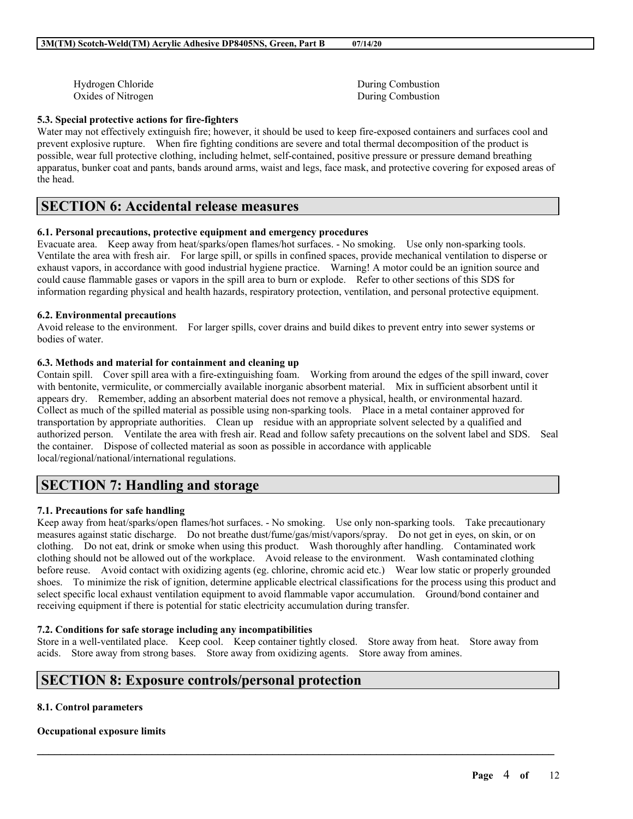| Hydrogen Chloride  | During Combustion |
|--------------------|-------------------|
| Oxides of Nitrogen | During Combustion |

### **5.3. Special protective actions for fire-fighters**

Water may not effectively extinguish fire; however, it should be used to keep fire-exposed containers and surfaces cool and prevent explosive rupture. When fire fighting conditions are severe and total thermal decomposition of the product is possible, wear full protective clothing, including helmet, self-contained, positive pressure or pressure demand breathing apparatus, bunker coat and pants, bands around arms, waist and legs, face mask, and protective covering for exposed areas of the head.

## **SECTION 6: Accidental release measures**

### **6.1. Personal precautions, protective equipment and emergency procedures**

Evacuate area. Keep away from heat/sparks/open flames/hot surfaces. - No smoking. Use only non-sparking tools. Ventilate the area with fresh air. For large spill, or spills in confined spaces, provide mechanical ventilation to disperse or exhaust vapors, in accordance with good industrial hygiene practice. Warning! A motor could be an ignition source and could cause flammable gases or vapors in the spill area to burn or explode. Refer to other sections of this SDS for information regarding physical and health hazards, respiratory protection, ventilation, and personal protective equipment.

### **6.2. Environmental precautions**

Avoid release to the environment. For larger spills, cover drains and build dikes to prevent entry into sewer systems or bodies of water.

### **6.3. Methods and material for containment and cleaning up**

Contain spill. Cover spill area with a fire-extinguishing foam. Working from around the edges of the spill inward, cover with bentonite, vermiculite, or commercially available inorganic absorbent material. Mix in sufficient absorbent until it appears dry. Remember, adding an absorbent material does not remove a physical, health, or environmental hazard. Collect as much of the spilled material as possible using non-sparking tools. Place in a metal container approved for transportation by appropriate authorities. Clean up residue with an appropriate solvent selected by a qualified and authorized person. Ventilate the area with fresh air. Read and follow safety precautions on the solvent label and SDS. Seal the container. Dispose of collected material as soon as possible in accordance with applicable local/regional/national/international regulations.

# **SECTION 7: Handling and storage**

### **7.1. Precautions for safe handling**

Keep away from heat/sparks/open flames/hot surfaces. - No smoking. Use only non-sparking tools. Take precautionary measures against static discharge. Do not breathe dust/fume/gas/mist/vapors/spray. Do not get in eyes, on skin, or on clothing. Do not eat, drink or smoke when using this product. Wash thoroughly after handling. Contaminated work clothing should not be allowed out of the workplace. Avoid release to the environment. Wash contaminated clothing before reuse. Avoid contact with oxidizing agents (eg. chlorine, chromic acid etc.) Wear low static or properly grounded shoes. To minimize the risk of ignition, determine applicable electrical classifications for the process using this product and select specific local exhaust ventilation equipment to avoid flammable vapor accumulation. Ground/bond container and receiving equipment if there is potential for static electricity accumulation during transfer.

### **7.2. Conditions for safe storage including any incompatibilities**

Store in a well-ventilated place. Keep cool. Keep container tightly closed. Store away from heat. Store away from acids. Store away from strong bases. Store away from oxidizing agents. Store away from amines.

 $\mathcal{L}_\mathcal{L} = \mathcal{L}_\mathcal{L} = \mathcal{L}_\mathcal{L} = \mathcal{L}_\mathcal{L} = \mathcal{L}_\mathcal{L} = \mathcal{L}_\mathcal{L} = \mathcal{L}_\mathcal{L} = \mathcal{L}_\mathcal{L} = \mathcal{L}_\mathcal{L} = \mathcal{L}_\mathcal{L} = \mathcal{L}_\mathcal{L} = \mathcal{L}_\mathcal{L} = \mathcal{L}_\mathcal{L} = \mathcal{L}_\mathcal{L} = \mathcal{L}_\mathcal{L} = \mathcal{L}_\mathcal{L} = \mathcal{L}_\mathcal{L}$ 

# **SECTION 8: Exposure controls/personal protection**

### **8.1. Control parameters**

### **Occupational exposure limits**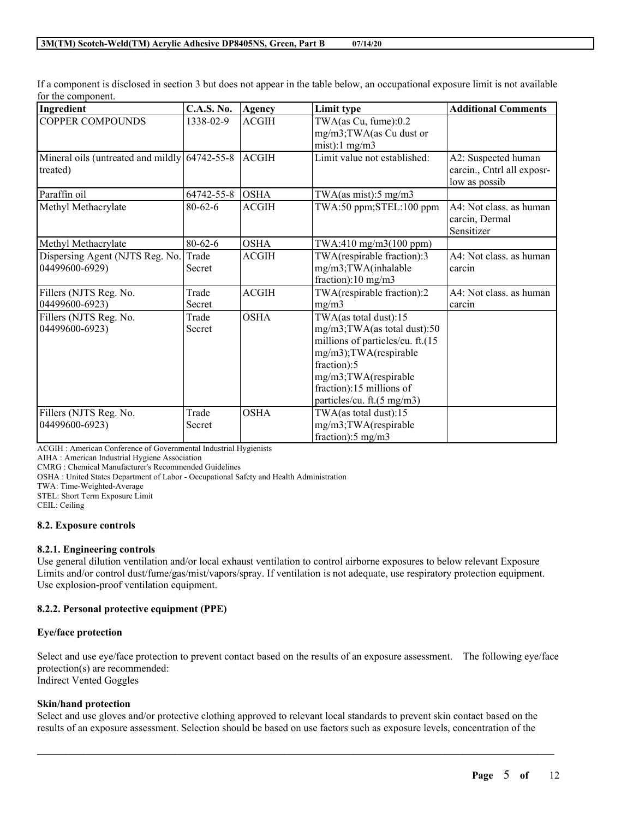If a component is disclosed in section 3 but does not appear in the table below, an occupational exposure limit is not available for the component.

| Ingredient                                                    | <b>C.A.S. No.</b> | <b>Agency</b> | Limit type                       | <b>Additional Comments</b>                                         |
|---------------------------------------------------------------|-------------------|---------------|----------------------------------|--------------------------------------------------------------------|
| <b>COPPER COMPOUNDS</b>                                       | 1338-02-9         | <b>ACGIH</b>  | TWA(as Cu, fume):0.2             |                                                                    |
|                                                               |                   |               | mg/m3;TWA(as Cu dust or          |                                                                    |
|                                                               |                   |               | mist):1 mg/m3                    |                                                                    |
| Mineral oils (untreated and mildly $64742-55-8$ )<br>treated) |                   | <b>ACGIH</b>  | Limit value not established:     | A2: Suspected human<br>carcin., Cntrl all exposr-<br>low as possib |
| Paraffin oil                                                  | 64742-55-8        | <b>OSHA</b>   | TWA(as mist): $5 \text{ mg/m}$ 3 |                                                                    |
| Methyl Methacrylate                                           | $80 - 62 - 6$     | <b>ACGIH</b>  | TWA:50 ppm;STEL:100 ppm          | A4: Not class. as human<br>carcin, Dermal<br>Sensitizer            |
| Methyl Methacrylate                                           | $80 - 62 - 6$     | <b>OSHA</b>   | TWA:410 mg/m3(100 ppm)           |                                                                    |
| Dispersing Agent (NJTS Reg. No.                               | Trade             | <b>ACGIH</b>  | TWA(respirable fraction):3       | A4: Not class. as human                                            |
| 04499600-6929)                                                | Secret            |               | mg/m3;TWA(inhalable              | carcin                                                             |
|                                                               |                   |               | fraction):10 mg/m3               |                                                                    |
| Fillers (NJTS Reg. No.                                        | Trade             | <b>ACGIH</b>  | TWA(respirable fraction):2       | A4: Not class, as human                                            |
| 04499600-6923)                                                | Secret            |               | mg/m3                            | carcin                                                             |
| Fillers (NJTS Reg. No.                                        | Trade             | <b>OSHA</b>   | TWA(as total dust):15            |                                                                    |
| 04499600-6923)                                                | Secret            |               | mg/m3;TWA(as total dust):50      |                                                                    |
|                                                               |                   |               | millions of particles/cu. ft.(15 |                                                                    |
|                                                               |                   |               | mg/m3);TWA(respirable            |                                                                    |
|                                                               |                   |               | fraction):5                      |                                                                    |
|                                                               |                   |               | mg/m3;TWA(respirable             |                                                                    |
|                                                               |                   |               | fraction):15 millions of         |                                                                    |
|                                                               |                   |               | particles/cu. ft.(5 mg/m3)       |                                                                    |
| Fillers (NJTS Reg. No.                                        | Trade             | <b>OSHA</b>   | TWA(as total dust):15            |                                                                    |
| 04499600-6923)                                                | Secret            |               | mg/m3;TWA(respirable             |                                                                    |
|                                                               |                   |               | fraction): $5 \text{ mg/m}$ 3    |                                                                    |

ACGIH : American Conference of Governmental Industrial Hygienists

AIHA : American Industrial Hygiene Association

CMRG : Chemical Manufacturer's Recommended Guidelines

OSHA : United States Department of Labor - Occupational Safety and Health Administration

TWA: Time-Weighted-Average

STEL: Short Term Exposure Limit

CEIL: Ceiling

### **8.2. Exposure controls**

### **8.2.1. Engineering controls**

Use general dilution ventilation and/or local exhaust ventilation to control airborne exposures to below relevant Exposure Limits and/or control dust/fume/gas/mist/vapors/spray. If ventilation is not adequate, use respiratory protection equipment. Use explosion-proof ventilation equipment.

### **8.2.2. Personal protective equipment (PPE)**

### **Eye/face protection**

Select and use eye/face protection to prevent contact based on the results of an exposure assessment. The following eye/face protection(s) are recommended: Indirect Vented Goggles

### **Skin/hand protection**

Select and use gloves and/or protective clothing approved to relevant local standards to prevent skin contact based on the results of an exposure assessment. Selection should be based on use factors such as exposure levels, concentration of the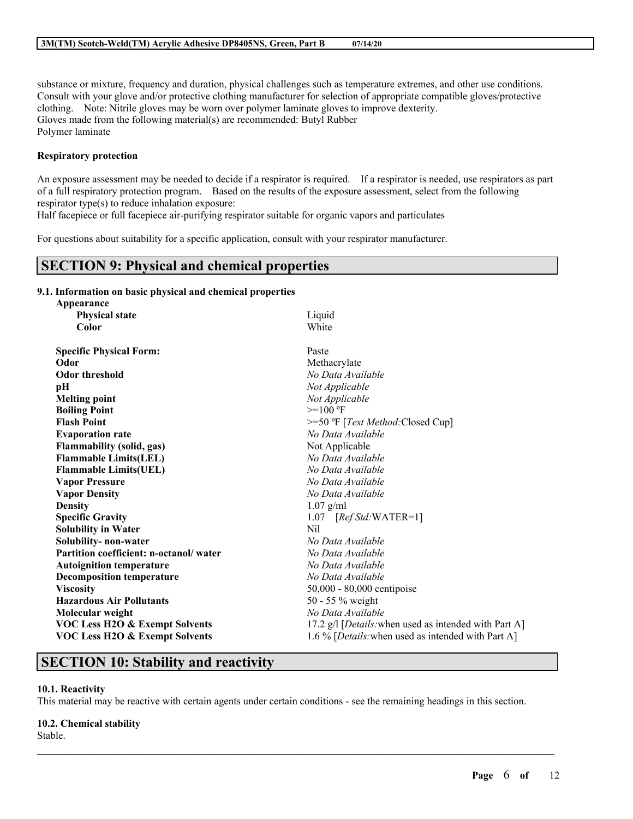substance or mixture, frequency and duration, physical challenges such as temperature extremes, and other use conditions. Consult with your glove and/or protective clothing manufacturer for selection of appropriate compatible gloves/protective clothing. Note: Nitrile gloves may be worn over polymer laminate gloves to improve dexterity. Gloves made from the following material(s) are recommended: Butyl Rubber Polymer laminate

### **Respiratory protection**

An exposure assessment may be needed to decide if a respirator is required. If a respirator is needed, use respirators as part of a full respiratory protection program. Based on the results of the exposure assessment, select from the following respirator type(s) to reduce inhalation exposure:

Half facepiece or full facepiece air-purifying respirator suitable for organic vapors and particulates

For questions about suitability for a specific application, consult with your respirator manufacturer.

## **SECTION 9: Physical and chemical properties**

### **9.1. Information on basic physical and chemical properties**

| Appearance                                |                                                                |
|-------------------------------------------|----------------------------------------------------------------|
| <b>Physical state</b>                     | Liquid                                                         |
| Color                                     | White                                                          |
| <b>Specific Physical Form:</b>            | Paste                                                          |
| Odor                                      | Methacrylate                                                   |
| <b>Odor threshold</b>                     | No Data Available                                              |
| pН                                        | Not Applicable                                                 |
| <b>Melting point</b>                      | Not Applicable                                                 |
| <b>Boiling Point</b>                      | $>=100$ °F                                                     |
| <b>Flash Point</b>                        | >=50 °F [Test Method: Closed Cup]                              |
| <b>Evaporation rate</b>                   | No Data Available                                              |
| Flammability (solid, gas)                 | Not Applicable                                                 |
| <b>Flammable Limits(LEL)</b>              | No Data Available                                              |
| <b>Flammable Limits(UEL)</b>              | No Data Available                                              |
| <b>Vapor Pressure</b>                     | No Data Available                                              |
| <b>Vapor Density</b>                      | No Data Available                                              |
| <b>Density</b>                            | $1.07$ g/ml                                                    |
| <b>Specific Gravity</b>                   | 1.07 $[RefStd:WATER=1]$                                        |
| <b>Solubility in Water</b>                | Nil                                                            |
| Solubility- non-water                     | No Data Available                                              |
| Partition coefficient: n-octanol/water    | No Data Available                                              |
| <b>Autoignition temperature</b>           | No Data Available                                              |
| <b>Decomposition temperature</b>          | No Data Available                                              |
| <b>Viscosity</b>                          | 50,000 - 80,000 centipoise                                     |
| <b>Hazardous Air Pollutants</b>           | 50 - 55 % weight                                               |
| Molecular weight                          | No Data Available                                              |
| <b>VOC Less H2O &amp; Exempt Solvents</b> | 17.2 g/l [ <i>Details</i> : when used as intended with Part A] |
| <b>VOC Less H2O &amp; Exempt Solvents</b> | 1.6 % [ <i>Details</i> : when used as intended with Part A]    |
|                                           |                                                                |

# **SECTION 10: Stability and reactivity**

### **10.1. Reactivity**

This material may be reactive with certain agents under certain conditions - see the remaining headings in this section.

 $\mathcal{L}_\mathcal{L} = \mathcal{L}_\mathcal{L} = \mathcal{L}_\mathcal{L} = \mathcal{L}_\mathcal{L} = \mathcal{L}_\mathcal{L} = \mathcal{L}_\mathcal{L} = \mathcal{L}_\mathcal{L} = \mathcal{L}_\mathcal{L} = \mathcal{L}_\mathcal{L} = \mathcal{L}_\mathcal{L} = \mathcal{L}_\mathcal{L} = \mathcal{L}_\mathcal{L} = \mathcal{L}_\mathcal{L} = \mathcal{L}_\mathcal{L} = \mathcal{L}_\mathcal{L} = \mathcal{L}_\mathcal{L} = \mathcal{L}_\mathcal{L}$ 

### **10.2. Chemical stability**

Stable.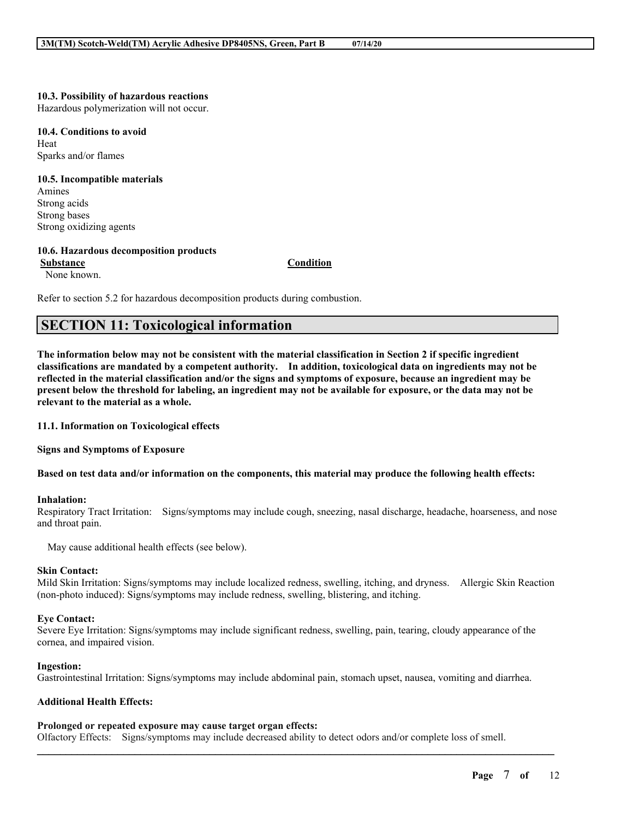## **10.3. Possibility of hazardous reactions**

Hazardous polymerization will not occur.

**10.4. Conditions to avoid** Heat Sparks and/or flames

## **10.5. Incompatible materials**

Amines Strong acids Strong bases Strong oxidizing agents

### **10.6. Hazardous decomposition products Substance Condition**

None known.

Refer to section 5.2 for hazardous decomposition products during combustion.

# **SECTION 11: Toxicological information**

The information below may not be consistent with the material classification in Section 2 if specific ingredient **classifications are mandated by a competent authority. In addition, toxicological data on ingredients may not be** reflected in the material classification and/or the signs and symptoms of exposure, because an ingredient may be present below the threshold for labeling, an ingredient may not be available for exposure, or the data may not be **relevant to the material as a whole.**

**11.1. Information on Toxicological effects**

**Signs and Symptoms of Exposure**

Based on test data and/or information on the components, this material may produce the following health effects:

### **Inhalation:**

Respiratory Tract Irritation: Signs/symptoms may include cough, sneezing, nasal discharge, headache, hoarseness, and nose and throat pain.

May cause additional health effects (see below).

### **Skin Contact:**

Mild Skin Irritation: Signs/symptoms may include localized redness, swelling, itching, and dryness. Allergic Skin Reaction (non-photo induced): Signs/symptoms may include redness, swelling, blistering, and itching.

### **Eye Contact:**

Severe Eye Irritation: Signs/symptoms may include significant redness, swelling, pain, tearing, cloudy appearance of the cornea, and impaired vision.

### **Ingestion:**

Gastrointestinal Irritation: Signs/symptoms may include abdominal pain, stomach upset, nausea, vomiting and diarrhea.

 $\mathcal{L}_\mathcal{L} = \mathcal{L}_\mathcal{L} = \mathcal{L}_\mathcal{L} = \mathcal{L}_\mathcal{L} = \mathcal{L}_\mathcal{L} = \mathcal{L}_\mathcal{L} = \mathcal{L}_\mathcal{L} = \mathcal{L}_\mathcal{L} = \mathcal{L}_\mathcal{L} = \mathcal{L}_\mathcal{L} = \mathcal{L}_\mathcal{L} = \mathcal{L}_\mathcal{L} = \mathcal{L}_\mathcal{L} = \mathcal{L}_\mathcal{L} = \mathcal{L}_\mathcal{L} = \mathcal{L}_\mathcal{L} = \mathcal{L}_\mathcal{L}$ 

### **Additional Health Effects:**

### **Prolonged or repeated exposure may cause target organ effects:**

Olfactory Effects: Signs/symptoms may include decreased ability to detect odors and/or complete loss of smell.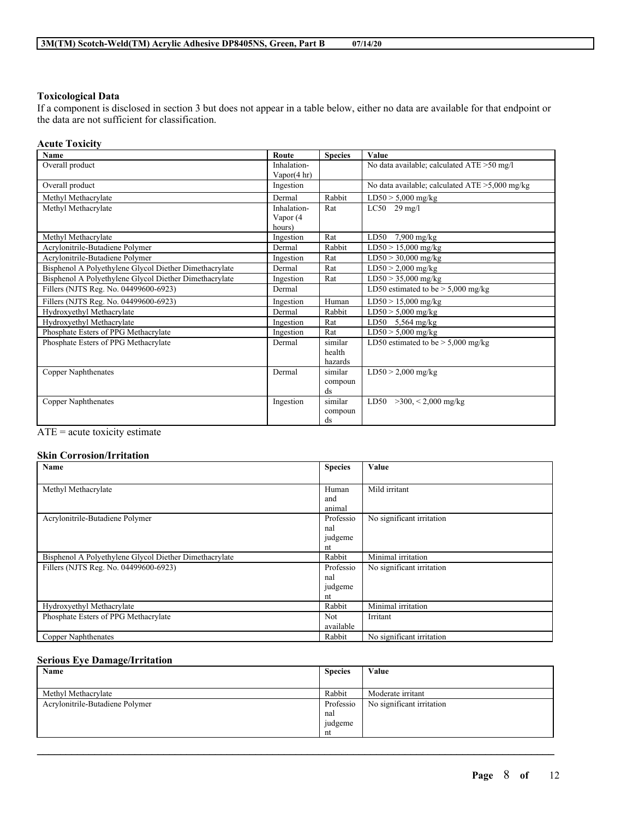### **Toxicological Data**

If a component is disclosed in section 3 but does not appear in a table below, either no data are available for that endpoint or the data are not sufficient for classification.

### **Acute Toxicity**

| <b>Name</b>                                            | Route                             | <b>Species</b>                               | Value                                             |
|--------------------------------------------------------|-----------------------------------|----------------------------------------------|---------------------------------------------------|
| Overall product                                        | Inhalation-<br>Vapor $(4 hr)$     |                                              | No data available; calculated ATE > 50 mg/l       |
| Overall product                                        | Ingestion                         |                                              | No data available; calculated $ATE > 5,000$ mg/kg |
| Methyl Methacrylate                                    | Dermal                            | Rabbit                                       | $LD50 > 5,000$ mg/kg                              |
| Methyl Methacrylate                                    | Inhalation-<br>Vapor (4<br>hours) | Rat                                          | $LC50$ 29 mg/l                                    |
| Methyl Methacrylate                                    | Ingestion                         | Rat                                          | LD50 $7,900$ mg/kg                                |
| Acrylonitrile-Butadiene Polymer                        | Dermal                            | Rabbit                                       | $LD50 > 15,000$ mg/kg                             |
| Acrylonitrile-Butadiene Polymer                        | Ingestion                         | Rat                                          | $LD50 > 30,000$ mg/kg                             |
| Bisphenol A Polyethylene Glycol Diether Dimethacrylate | Dermal                            | Rat                                          | $LD50 > 2,000$ mg/kg                              |
| Bisphenol A Polyethylene Glycol Diether Dimethacrylate | Ingestion                         | Rat                                          | $LD50 > 35,000$ mg/kg                             |
| Fillers (NJTS Reg. No. 04499600-6923)                  | Dermal                            |                                              | LD50 estimated to be $> 5,000$ mg/kg              |
| Fillers (NJTS Reg. No. 04499600-6923)                  | Ingestion                         | Human                                        | $LD50 > 15,000$ mg/kg                             |
| Hydroxyethyl Methacrylate                              | Dermal                            | Rabbit                                       | $LD50 > 5,000$ mg/kg                              |
| Hydroxyethyl Methacrylate                              | Ingestion                         | Rat                                          | LD50 $5,564$ mg/kg                                |
| Phosphate Esters of PPG Methacrylate                   | Ingestion                         | Rat                                          | $LD50 > 5,000$ mg/kg                              |
| Phosphate Esters of PPG Methacrylate                   | Dermal                            | similar<br>health<br>hazards                 | LD50 estimated to be $>$ 5,000 mg/kg              |
| Copper Naphthenates                                    | Dermal                            | similar<br>compoun<br>$\mathrm{d}\mathrm{s}$ | $LD50 > 2,000$ mg/kg                              |
| Copper Naphthenates                                    | Ingestion                         | similar<br>compoun<br>ds                     | LD50 $>300$ , < 2,000 mg/kg                       |

### $ATE = acute$  toxicity estimate

### **Skin Corrosion/Irritation**

| Name                                                   | <b>Species</b> | Value                     |
|--------------------------------------------------------|----------------|---------------------------|
|                                                        |                |                           |
| Methyl Methacrylate                                    | Human          | Mild irritant             |
|                                                        | and            |                           |
|                                                        | animal         |                           |
| Acrylonitrile-Butadiene Polymer                        | Professio      | No significant irritation |
|                                                        | nal            |                           |
|                                                        | judgeme        |                           |
|                                                        | nt             |                           |
| Bisphenol A Polyethylene Glycol Diether Dimethacrylate | Rabbit         | Minimal irritation        |
| Fillers (NJTS Reg. No. 04499600-6923)                  | Professio      | No significant irritation |
|                                                        | nal            |                           |
|                                                        | judgeme        |                           |
|                                                        | nt             |                           |
| Hydroxyethyl Methacrylate                              | Rabbit         | Minimal irritation        |
| Phosphate Esters of PPG Methacrylate                   | <b>Not</b>     | Irritant                  |
|                                                        | available      |                           |
| Copper Naphthenates                                    | Rabbit         | No significant irritation |

## **Serious Eye Damage/Irritation**

| Name                            | <b>Species</b> | Value                     |
|---------------------------------|----------------|---------------------------|
|                                 |                |                           |
| Methyl Methacrylate             | Rabbit         | Moderate irritant         |
| Acrylonitrile-Butadiene Polymer | Professio      | No significant irritation |
|                                 | nal            |                           |
|                                 | judgeme        |                           |
|                                 | nt             |                           |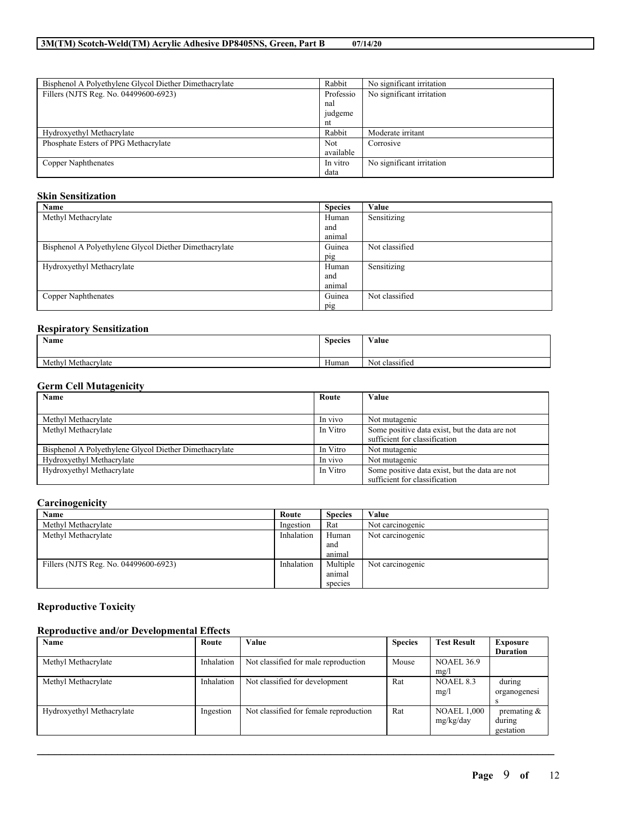| Bisphenol A Polyethylene Glycol Diether Dimethacrylate | Rabbit    | No significant irritation |
|--------------------------------------------------------|-----------|---------------------------|
| Fillers (NJTS Reg. No. 04499600-6923)                  | Professio | No significant irritation |
|                                                        | nal       |                           |
|                                                        | judgeme   |                           |
|                                                        | nt        |                           |
| Hydroxyethyl Methacrylate                              | Rabbit    | Moderate irritant         |
| Phosphate Esters of PPG Methacrylate                   | Not.      | Corrosive                 |
|                                                        | available |                           |
| Copper Naphthenates                                    | In vitro  | No significant irritation |
|                                                        | data      |                           |

## **Skin Sensitization**

| Name                                                   | <b>Species</b> | Value          |
|--------------------------------------------------------|----------------|----------------|
| Methyl Methacrylate                                    | Human          | Sensitizing    |
|                                                        | and            |                |
|                                                        | animal         |                |
| Bisphenol A Polyethylene Glycol Diether Dimethacrylate | Guinea         | Not classified |
|                                                        | pig            |                |
| Hydroxyethyl Methacrylate                              | Human          | Sensitizing    |
|                                                        | and            |                |
|                                                        | animal         |                |
| Copper Naphthenates                                    | Guinea         | Not classified |
|                                                        | pig            |                |

## **Respiratory Sensitization**

| <b>Name</b>            | <b>Species</b> | $X$ $Y$ $Y$<br>√alue         |
|------------------------|----------------|------------------------------|
| Methacrylate<br>Methyl | Human          | $\sim$<br>Not.<br>classified |

### **Germ Cell Mutagenicity**

| Name                                                   | Route    | Value                                                                           |
|--------------------------------------------------------|----------|---------------------------------------------------------------------------------|
|                                                        |          |                                                                                 |
| Methyl Methacrylate                                    | In vivo  | Not mutagenic                                                                   |
| Methyl Methacrylate                                    | In Vitro | Some positive data exist, but the data are not<br>sufficient for classification |
| Bisphenol A Polyethylene Glycol Diether Dimethacrylate | In Vitro | Not mutagenic                                                                   |
| Hydroxyethyl Methacrylate                              | In vivo  | Not mutagenic                                                                   |
| Hydroxyethyl Methacrylate                              | In Vitro | Some positive data exist, but the data are not<br>sufficient for classification |

## **Carcinogenicity**

| Name                                  | Route      | <b>Species</b> | Value            |
|---------------------------------------|------------|----------------|------------------|
| Methyl Methacrylate                   | Ingestion  | Rat            | Not carcinogenic |
| Methyl Methacrylate                   | Inhalation | Human          | Not carcinogenic |
|                                       |            | and            |                  |
|                                       |            | anımal         |                  |
| Fillers (NJTS Reg. No. 04499600-6923) | Inhalation | Multiple       | Not carcinogenic |
|                                       |            | anımal         |                  |
|                                       |            | species        |                  |

## **Reproductive Toxicity**

## **Reproductive and/or Developmental Effects**

| Name                      | Route      | Value                                  | <b>Species</b> | <b>Test Result</b> | <b>Exposure</b> |
|---------------------------|------------|----------------------------------------|----------------|--------------------|-----------------|
|                           |            |                                        |                |                    | <b>Duration</b> |
| Methyl Methacrylate       | Inhalation | Not classified for male reproduction   | Mouse          | <b>NOAEL 36.9</b>  |                 |
|                           |            |                                        |                | mg/l               |                 |
| Methyl Methacrylate       | Inhalation | Not classified for development         | Rat            | NOAEL 8.3          | during          |
|                           |            |                                        |                | mg/l               | organogenesi    |
|                           |            |                                        |                |                    |                 |
| Hydroxyethyl Methacrylate | Ingestion  | Not classified for female reproduction | Rat            | <b>NOAEL 1,000</b> | premating $\&$  |
|                           |            |                                        |                | mg/kg/day          | during          |
|                           |            |                                        |                |                    | gestation       |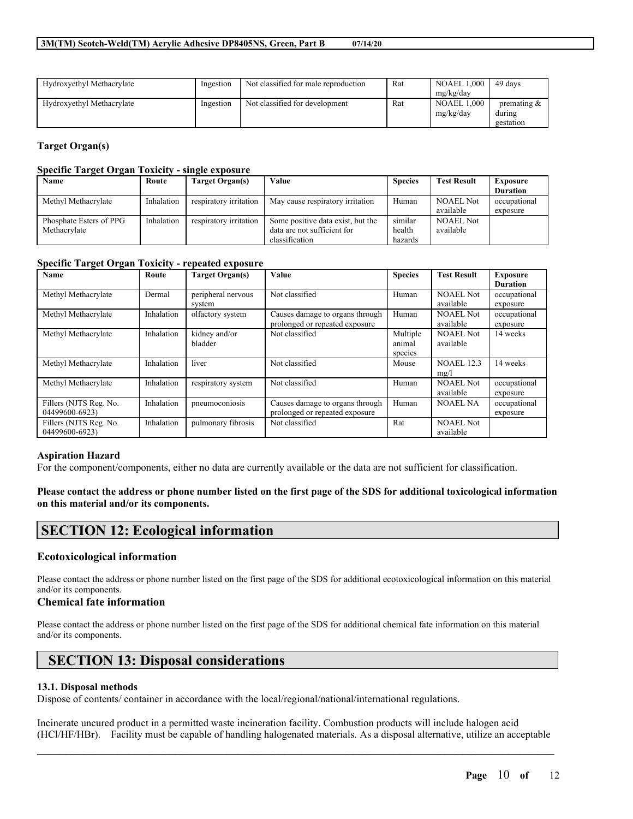| Hydroxyethyl Methacrylate | Ingestion | Not classified for male reproduction | Rat | <b>NOAEL 1.000</b> | 49 days        |
|---------------------------|-----------|--------------------------------------|-----|--------------------|----------------|
|                           |           |                                      |     | mg/kg/day          |                |
| Hydroxyethyl Methacrylate | Ingestion | Not classified for development       | Rat | <b>NOAEL 1.000</b> | premating $\&$ |
|                           |           |                                      |     | mg/kg/day          | during         |
|                           |           |                                      |     |                    | gestation      |

### **Target Organ(s)**

### **Specific Target Organ Toxicity - single exposure**

| Name                    | Route      | <b>Target Organ(s)</b> | Value                             | <b>Species</b> | <b>Test Result</b> | <b>Exposure</b> |
|-------------------------|------------|------------------------|-----------------------------------|----------------|--------------------|-----------------|
|                         |            |                        |                                   |                |                    | <b>Duration</b> |
| Methyl Methacrylate     | Inhalation | respiratory irritation | May cause respiratory irritation  | Human          | <b>NOAEL Not</b>   | occupational    |
|                         |            |                        |                                   |                | available          | exposure        |
| Phosphate Esters of PPG | Inhalation | respiratory irritation | Some positive data exist, but the | similar        | <b>NOAEL Not</b>   |                 |
| Methacrylate            |            |                        | data are not sufficient for       | health         | available          |                 |
|                         |            |                        | classification                    | hazards        |                    |                 |

### **Specific Target Organ Toxicity - repeated exposure**

| <b>Name</b>                              | Route      | <b>Target Organ(s)</b>       | Value                                                             | <b>Species</b>                | <b>Test Result</b>            | <b>Exposure</b>          |
|------------------------------------------|------------|------------------------------|-------------------------------------------------------------------|-------------------------------|-------------------------------|--------------------------|
|                                          |            |                              |                                                                   |                               |                               | <b>Duration</b>          |
| Methyl Methacrylate                      | Dermal     | peripheral nervous<br>system | Not classified                                                    | Human                         | <b>NOAEL Not</b><br>available | occupational<br>exposure |
| Methyl Methacrylate                      | Inhalation | olfactory system             | Causes damage to organs through<br>prolonged or repeated exposure | Human                         | <b>NOAEL Not</b><br>available | occupational<br>exposure |
| Methyl Methacrylate                      | Inhalation | kidney and/or<br>bladder     | Not classified                                                    | Multiple<br>animal<br>species | <b>NOAEL Not</b><br>available | 14 weeks                 |
| Methyl Methacrylate                      | Inhalation | liver                        | Not classified                                                    | Mouse                         | <b>NOAEL 12.3</b><br>mg/l     | 14 weeks                 |
| Methyl Methacrylate                      | Inhalation | respiratory system           | Not classified                                                    | Human                         | <b>NOAEL Not</b><br>available | occupational<br>exposure |
| Fillers (NJTS Reg. No.<br>04499600-6923) | Inhalation | pneumoconiosis               | Causes damage to organs through<br>prolonged or repeated exposure | Human                         | <b>NOAEL NA</b>               | occupational<br>exposure |
| Fillers (NJTS Reg. No.<br>04499600-6923) | Inhalation | pulmonary fibrosis           | Not classified                                                    | Rat                           | <b>NOAEL Not</b><br>available |                          |

### **Aspiration Hazard**

For the component/components, either no data are currently available or the data are not sufficient for classification.

### Please contact the address or phone number listed on the first page of the SDS for additional toxicological information **on this material and/or its components.**

## **SECTION 12: Ecological information**

### **Ecotoxicological information**

Please contact the address or phone number listed on the first page of the SDS for additional ecotoxicological information on this material and/or its components.

### **Chemical fate information**

Please contact the address or phone number listed on the first page of the SDS for additional chemical fate information on this material and/or its components.

# **SECTION 13: Disposal considerations**

### **13.1. Disposal methods**

Dispose of contents/ container in accordance with the local/regional/national/international regulations.

Incinerate uncured product in a permitted waste incineration facility. Combustion products will include halogen acid (HCl/HF/HBr). Facility must be capable of handling halogenated materials. As a disposal alternative, utilize an acceptable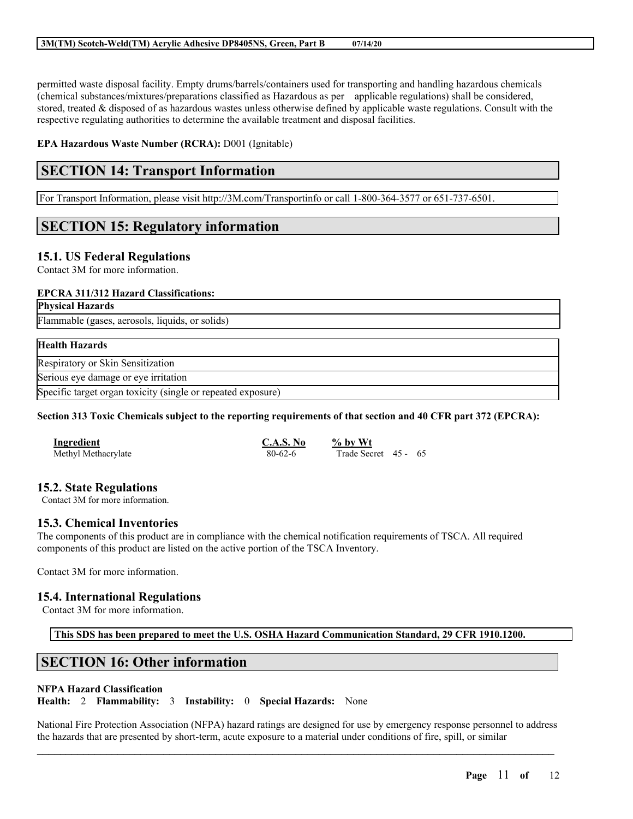permitted waste disposal facility. Empty drums/barrels/containers used for transporting and handling hazardous chemicals (chemical substances/mixtures/preparations classified as Hazardous as per applicable regulations) shall be considered, stored, treated & disposed of as hazardous wastes unless otherwise defined by applicable waste regulations. Consult with the respective regulating authorities to determine the available treatment and disposal facilities.

**EPA Hazardous Waste Number (RCRA):** D001 (Ignitable)

# **SECTION 14: Transport Information**

For Transport Information, please visit http://3M.com/Transportinfo or call 1-800-364-3577 or 651-737-6501.

# **SECTION 15: Regulatory information**

## **15.1. US Federal Regulations**

Contact 3M for more information.

### **EPCRA 311/312 Hazard Classifications:**

## **Physical Hazards**

Flammable (gases, aerosols, liquids, or solids)

### **Health Hazards**

Respiratory or Skin Sensitization

Serious eye damage or eye irritation

Specific target organ toxicity (single or repeated exposure)

### Section 313 Toxic Chemicals subject to the reporting requirements of that section and 40 CFR part 372 (EPCRA):

| Ingredient          | C.A.S. No     | $\%$ by Wt           |  |
|---------------------|---------------|----------------------|--|
| Methyl Methacrylate | $80 - 62 - 6$ | Trade Secret 45 - 65 |  |

## **15.2. State Regulations**

Contact 3M for more information.

## **15.3. Chemical Inventories**

The components of this product are in compliance with the chemical notification requirements of TSCA. All required components of this product are listed on the active portion of the TSCA Inventory.

Contact 3M for more information.

### **15.4. International Regulations**

Contact 3M for more information.

**This SDS has been prepared to meet the U.S. OSHA Hazard Communication Standard, 29 CFR 1910.1200.**

# **SECTION 16: Other information**

### **NFPA Hazard Classification**

**Health:** 2 **Flammability:** 3 **Instability:** 0 **Special Hazards:** None

 $\mathcal{L}_\mathcal{L} = \mathcal{L}_\mathcal{L} = \mathcal{L}_\mathcal{L} = \mathcal{L}_\mathcal{L} = \mathcal{L}_\mathcal{L} = \mathcal{L}_\mathcal{L} = \mathcal{L}_\mathcal{L} = \mathcal{L}_\mathcal{L} = \mathcal{L}_\mathcal{L} = \mathcal{L}_\mathcal{L} = \mathcal{L}_\mathcal{L} = \mathcal{L}_\mathcal{L} = \mathcal{L}_\mathcal{L} = \mathcal{L}_\mathcal{L} = \mathcal{L}_\mathcal{L} = \mathcal{L}_\mathcal{L} = \mathcal{L}_\mathcal{L}$ National Fire Protection Association (NFPA) hazard ratings are designed for use by emergency response personnel to address the hazards that are presented by short-term, acute exposure to a material under conditions of fire, spill, or similar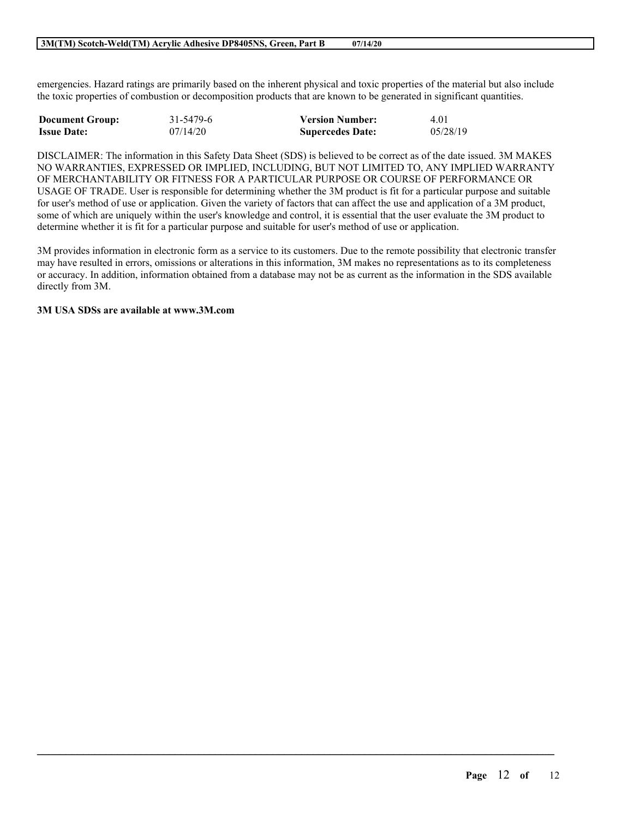emergencies. Hazard ratings are primarily based on the inherent physical and toxic properties of the material but also include the toxic properties of combustion or decomposition products that are known to be generated in significant quantities.

| <b>Document Group:</b> | 31-5479-6 | <b>Version Number:</b>  | 4.01     |
|------------------------|-----------|-------------------------|----------|
| <b>Issue Date:</b>     | 07/14/20  | <b>Supercedes Date:</b> | 05/28/19 |

DISCLAIMER: The information in this Safety Data Sheet (SDS) is believed to be correct as of the date issued. 3M MAKES NO WARRANTIES, EXPRESSED OR IMPLIED, INCLUDING, BUT NOT LIMITED TO, ANY IMPLIED WARRANTY OF MERCHANTABILITY OR FITNESS FOR A PARTICULAR PURPOSE OR COURSE OF PERFORMANCE OR USAGE OF TRADE. User is responsible for determining whether the 3M product is fit for a particular purpose and suitable for user's method of use or application. Given the variety of factors that can affect the use and application of a 3M product, some of which are uniquely within the user's knowledge and control, it is essential that the user evaluate the 3M product to determine whether it is fit for a particular purpose and suitable for user's method of use or application.

3M provides information in electronic form as a service to its customers. Due to the remote possibility that electronic transfer may have resulted in errors, omissions or alterations in this information, 3M makes no representations as to its completeness or accuracy. In addition, information obtained from a database may not be as current as the information in the SDS available directly from 3M.

 $\mathcal{L}_\mathcal{L} = \mathcal{L}_\mathcal{L} = \mathcal{L}_\mathcal{L} = \mathcal{L}_\mathcal{L} = \mathcal{L}_\mathcal{L} = \mathcal{L}_\mathcal{L} = \mathcal{L}_\mathcal{L} = \mathcal{L}_\mathcal{L} = \mathcal{L}_\mathcal{L} = \mathcal{L}_\mathcal{L} = \mathcal{L}_\mathcal{L} = \mathcal{L}_\mathcal{L} = \mathcal{L}_\mathcal{L} = \mathcal{L}_\mathcal{L} = \mathcal{L}_\mathcal{L} = \mathcal{L}_\mathcal{L} = \mathcal{L}_\mathcal{L}$ 

## **3M USA SDSs are available at www.3M.com**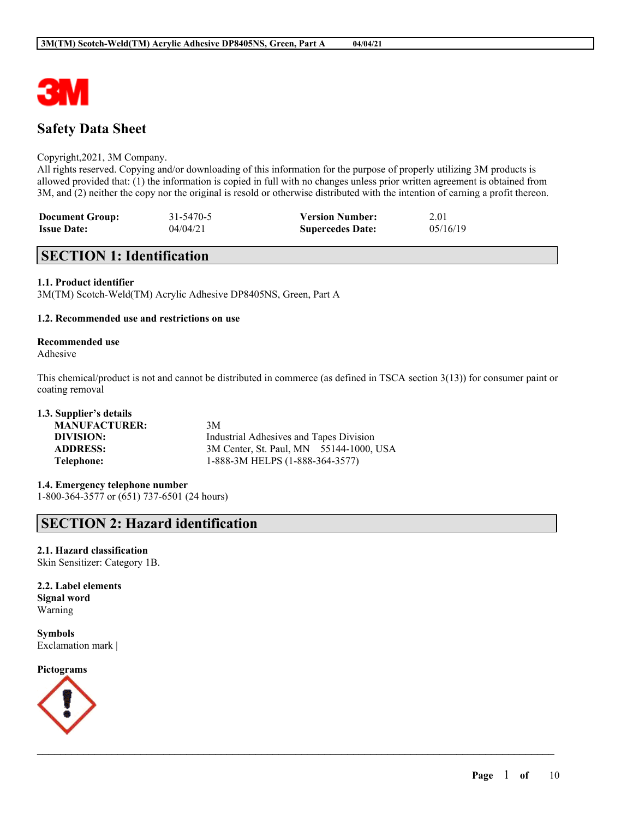

# **Safety Data Sheet**

### Copyright,2021, 3M Company.

All rights reserved. Copying and/or downloading of this information for the purpose of properly utilizing 3M products is allowed provided that: (1) the information is copied in full with no changes unless prior written agreement is obtained from 3M, and (2) neither the copy nor the original is resold or otherwise distributed with the intention of earning a profit thereon.

| <b>Document Group:</b> | 31-5470-5 | <b>Version Number:</b>  | 2.01     |
|------------------------|-----------|-------------------------|----------|
| <b>Issue Date:</b>     | 04/04/21  | <b>Supercedes Date:</b> | 05/16/19 |

# **SECTION 1: Identification**

### **1.1. Product identifier**

3M(TM) Scotch-Weld(TM) Acrylic Adhesive DP8405NS, Green, Part A

### **1.2. Recommended use and restrictions on use**

### **Recommended use**

Adhesive

This chemical/product is not and cannot be distributed in commerce (as defined in TSCA section 3(13)) for consumer paint or coating removal

 $\mathcal{L}_\mathcal{L} = \mathcal{L}_\mathcal{L} = \mathcal{L}_\mathcal{L} = \mathcal{L}_\mathcal{L} = \mathcal{L}_\mathcal{L} = \mathcal{L}_\mathcal{L} = \mathcal{L}_\mathcal{L} = \mathcal{L}_\mathcal{L} = \mathcal{L}_\mathcal{L} = \mathcal{L}_\mathcal{L} = \mathcal{L}_\mathcal{L} = \mathcal{L}_\mathcal{L} = \mathcal{L}_\mathcal{L} = \mathcal{L}_\mathcal{L} = \mathcal{L}_\mathcal{L} = \mathcal{L}_\mathcal{L} = \mathcal{L}_\mathcal{L}$ 

### **1.3. Supplier's details**

| , биррист з истану   |                                         |
|----------------------|-----------------------------------------|
| <b>MANUFACTURER:</b> | 3M                                      |
| DIVISION:            | Industrial Adhesives and Tapes Division |
| <b>ADDRESS:</b>      | 3M Center, St. Paul, MN 55144-1000, USA |
| Telephone:           | 1-888-3M HELPS (1-888-364-3577)         |

## **1.4. Emergency telephone number**

1-800-364-3577 or (651) 737-6501 (24 hours)

# **SECTION 2: Hazard identification**

**2.1. Hazard classification**

Skin Sensitizer: Category 1B.

**2.2. Label elements Signal word** Warning

**Symbols** Exclamation mark |

**Pictograms**

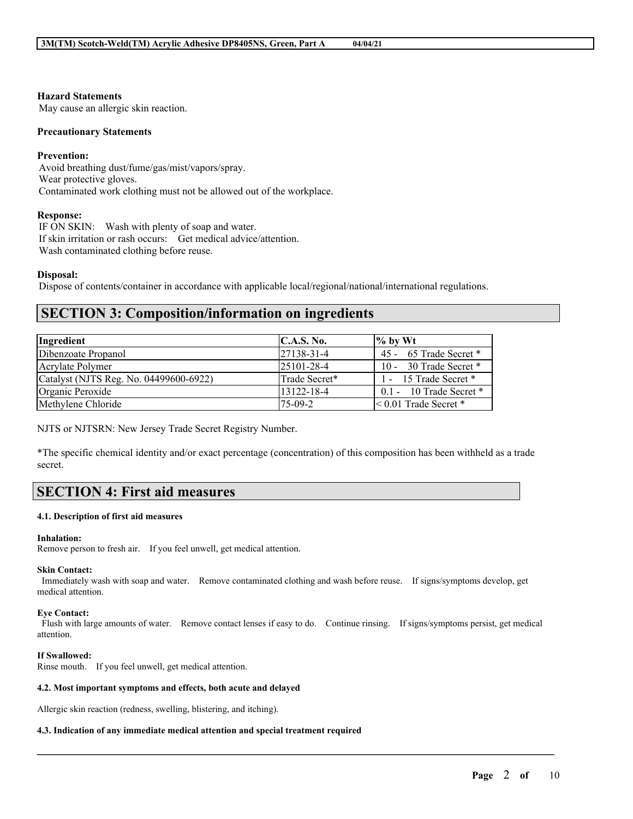## **Hazard Statements**

May cause an allergic skin reaction.

### **Precautionary Statements**

### **Prevention:**

Avoid breathing dust/fume/gas/mist/vapors/spray. Wear protective gloves. Contaminated work clothing must not be allowed out of the workplace.

### **Response:**

IF ON SKIN: Wash with plenty of soap and water. If skin irritation or rash occurs: Get medical advice/attention. Wash contaminated clothing before reuse.

### **Disposal:**

Dispose of contents/container in accordance with applicable local/regional/national/international regulations.

# **SECTION 3: Composition/information on ingredients**

| Ingredient                             | C.A.S. No.         | $\frac{1}{2}$ by Wt         |
|----------------------------------------|--------------------|-----------------------------|
| Dibenzoate Propanol                    | $ 27138-31-4 $     | 45 - 65 Trade Secret *      |
| Acrylate Polymer                       | $ 25101 - 28 - 4 $ | 10 - 30 Trade Secret *      |
| Catalyst (NJTS Reg. No. 04499600-6922) | Trade Secret*      | 1 - 15 Trade Secret *       |
| Organic Peroxide                       | $13122 - 18 - 4$   | $0.1 - 10$ Trade Secret $*$ |
| Methylene Chloride                     | 75-09-2            | $ $ < 0.01 Trade Secret $*$ |

NJTS or NJTSRN: New Jersey Trade Secret Registry Number.

\*The specific chemical identity and/or exact percentage (concentration) of this composition has been withheld as a trade secret.

# **SECTION 4: First aid measures**

### **4.1. Description of first aid measures**

### **Inhalation:**

Remove person to fresh air. If you feel unwell, get medical attention.

### **Skin Contact:**

Immediately wash with soap and water. Remove contaminated clothing and wash before reuse. If signs/symptoms develop, get medical attention.

### **Eye Contact:**

Flush with large amounts of water. Remove contact lenses if easy to do. Continue rinsing. If signs/symptoms persist, get medical attention.

 $\mathcal{L}_\mathcal{L} = \mathcal{L}_\mathcal{L} = \mathcal{L}_\mathcal{L} = \mathcal{L}_\mathcal{L} = \mathcal{L}_\mathcal{L} = \mathcal{L}_\mathcal{L} = \mathcal{L}_\mathcal{L} = \mathcal{L}_\mathcal{L} = \mathcal{L}_\mathcal{L} = \mathcal{L}_\mathcal{L} = \mathcal{L}_\mathcal{L} = \mathcal{L}_\mathcal{L} = \mathcal{L}_\mathcal{L} = \mathcal{L}_\mathcal{L} = \mathcal{L}_\mathcal{L} = \mathcal{L}_\mathcal{L} = \mathcal{L}_\mathcal{L}$ 

### **If Swallowed:**

Rinse mouth. If you feel unwell, get medical attention.

### **4.2. Most important symptoms and effects, both acute and delayed**

Allergic skin reaction (redness, swelling, blistering, and itching).

### **4.3. Indication of any immediate medical attention and special treatment required**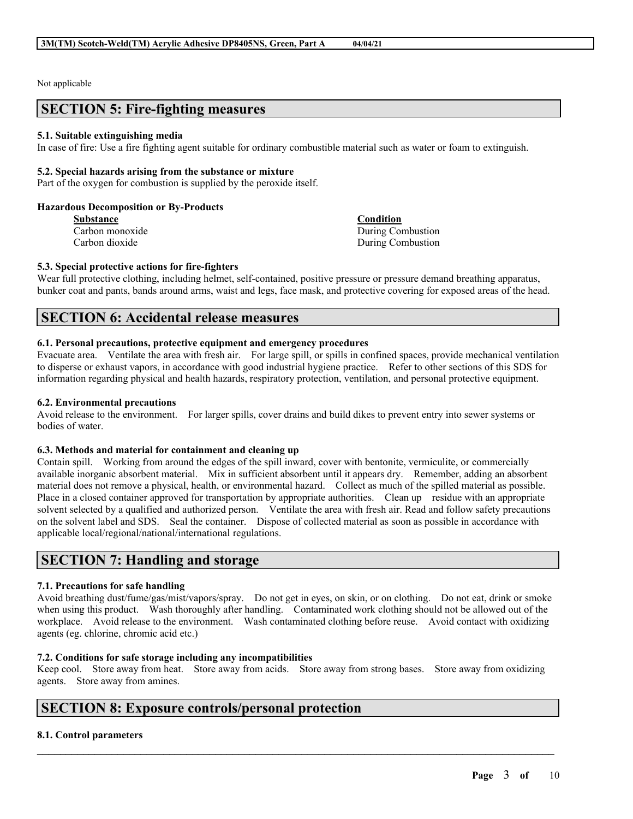Not applicable

# **SECTION 5: Fire-fighting measures**

## **5.1. Suitable extinguishing media**

In case of fire: Use a fire fighting agent suitable for ordinary combustible material such as water or foam to extinguish.

## **5.2. Special hazards arising from the substance or mixture**

Part of the oxygen for combustion is supplied by the peroxide itself.

## **Hazardous Decomposition or By-Products**

**Substance Condition**

Carbon monoxide During Combustion Carbon dioxide During Combustion

### **5.3. Special protective actions for fire-fighters**

Wear full protective clothing, including helmet, self-contained, positive pressure or pressure demand breathing apparatus, bunker coat and pants, bands around arms, waist and legs, face mask, and protective covering for exposed areas of the head.

# **SECTION 6: Accidental release measures**

### **6.1. Personal precautions, protective equipment and emergency procedures**

Evacuate area. Ventilate the area with fresh air. For large spill, or spills in confined spaces, provide mechanical ventilation to disperse or exhaust vapors, in accordance with good industrial hygiene practice. Refer to other sections of this SDS for information regarding physical and health hazards, respiratory protection, ventilation, and personal protective equipment.

### **6.2. Environmental precautions**

Avoid release to the environment. For larger spills, cover drains and build dikes to prevent entry into sewer systems or bodies of water.

### **6.3. Methods and material for containment and cleaning up**

Contain spill. Working from around the edges of the spill inward, cover with bentonite, vermiculite, or commercially available inorganic absorbent material. Mix in sufficient absorbent until it appears dry. Remember, adding an absorbent material does not remove a physical, health, or environmental hazard. Collect as much of the spilled material as possible. Place in a closed container approved for transportation by appropriate authorities. Clean up residue with an appropriate solvent selected by a qualified and authorized person. Ventilate the area with fresh air. Read and follow safety precautions on the solvent label and SDS. Seal the container. Dispose of collected material as soon as possible in accordance with applicable local/regional/national/international regulations.

# **SECTION 7: Handling and storage**

### **7.1. Precautions for safe handling**

Avoid breathing dust/fume/gas/mist/vapors/spray. Do not get in eyes, on skin, or on clothing. Do not eat, drink or smoke when using this product. Wash thoroughly after handling. Contaminated work clothing should not be allowed out of the workplace. Avoid release to the environment. Wash contaminated clothing before reuse. Avoid contact with oxidizing agents (eg. chlorine, chromic acid etc.)

### **7.2. Conditions for safe storage including any incompatibilities**

Keep cool. Store away from heat. Store away from acids. Store away from strong bases. Store away from oxidizing agents. Store away from amines.

 $\mathcal{L}_\mathcal{L} = \mathcal{L}_\mathcal{L} = \mathcal{L}_\mathcal{L} = \mathcal{L}_\mathcal{L} = \mathcal{L}_\mathcal{L} = \mathcal{L}_\mathcal{L} = \mathcal{L}_\mathcal{L} = \mathcal{L}_\mathcal{L} = \mathcal{L}_\mathcal{L} = \mathcal{L}_\mathcal{L} = \mathcal{L}_\mathcal{L} = \mathcal{L}_\mathcal{L} = \mathcal{L}_\mathcal{L} = \mathcal{L}_\mathcal{L} = \mathcal{L}_\mathcal{L} = \mathcal{L}_\mathcal{L} = \mathcal{L}_\mathcal{L}$ 

# **SECTION 8: Exposure controls/personal protection**

## **8.1. Control parameters**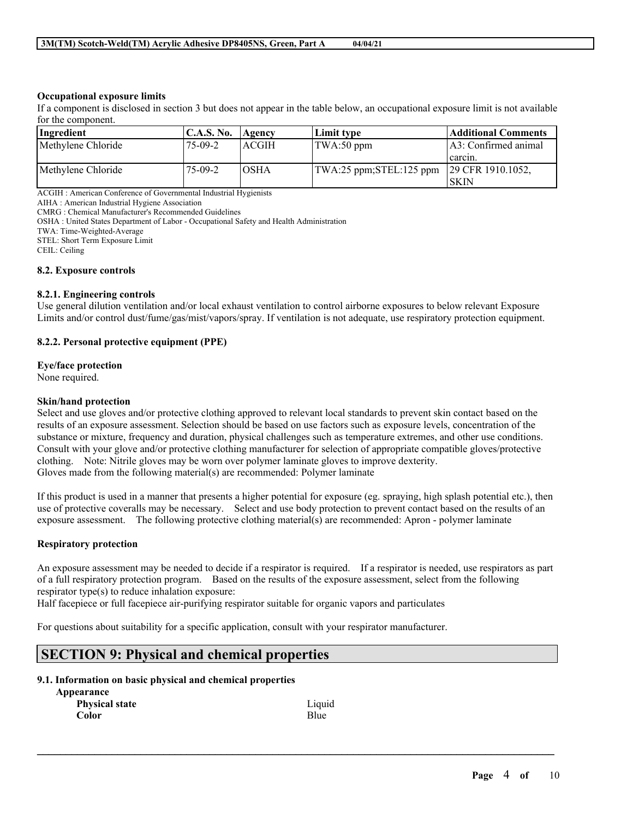### **Occupational exposure limits**

If a component is disclosed in section 3 but does not appear in the table below, an occupational exposure limit is not available for the component.

| Ingredient         | <b>C.A.S. No.</b> | Agency       | Limit type              | Additional Comments   |
|--------------------|-------------------|--------------|-------------------------|-----------------------|
| Methylene Chloride | $75-09-2$         | <b>ACGIH</b> | TWA:50 ppm              | LA3: Confirmed animal |
|                    |                   |              |                         | carcin.               |
| Methylene Chloride | $75-09-2$         | <b>OSHA</b>  | TWA:25 ppm;STEL:125 ppm | $29$ CFR 1910.1052,   |
|                    |                   |              |                         | SKIN                  |

ACGIH : American Conference of Governmental Industrial Hygienists

AIHA : American Industrial Hygiene Association

CMRG : Chemical Manufacturer's Recommended Guidelines OSHA : United States Department of Labor - Occupational Safety and Health Administration

TWA: Time-Weighted-Average STEL: Short Term Exposure Limit

CEIL: Ceiling

### **8.2. Exposure controls**

### **8.2.1. Engineering controls**

Use general dilution ventilation and/or local exhaust ventilation to control airborne exposures to below relevant Exposure Limits and/or control dust/fume/gas/mist/vapors/spray. If ventilation is not adequate, use respiratory protection equipment.

### **8.2.2. Personal protective equipment (PPE)**

### **Eye/face protection**

None required.

### **Skin/hand protection**

Select and use gloves and/or protective clothing approved to relevant local standards to prevent skin contact based on the results of an exposure assessment. Selection should be based on use factors such as exposure levels, concentration of the substance or mixture, frequency and duration, physical challenges such as temperature extremes, and other use conditions. Consult with your glove and/or protective clothing manufacturer for selection of appropriate compatible gloves/protective clothing. Note: Nitrile gloves may be worn over polymer laminate gloves to improve dexterity. Gloves made from the following material(s) are recommended: Polymer laminate

If this product is used in a manner that presents a higher potential for exposure (eg. spraying, high splash potential etc.), then use of protective coveralls may be necessary. Select and use body protection to prevent contact based on the results of an exposure assessment. The following protective clothing material(s) are recommended: Apron - polymer laminate

### **Respiratory protection**

An exposure assessment may be needed to decide if a respirator is required. If a respirator is needed, use respirators as part of a full respiratory protection program. Based on the results of the exposure assessment, select from the following respirator type(s) to reduce inhalation exposure:

 $\mathcal{L}_\mathcal{L} = \mathcal{L}_\mathcal{L} = \mathcal{L}_\mathcal{L} = \mathcal{L}_\mathcal{L} = \mathcal{L}_\mathcal{L} = \mathcal{L}_\mathcal{L} = \mathcal{L}_\mathcal{L} = \mathcal{L}_\mathcal{L} = \mathcal{L}_\mathcal{L} = \mathcal{L}_\mathcal{L} = \mathcal{L}_\mathcal{L} = \mathcal{L}_\mathcal{L} = \mathcal{L}_\mathcal{L} = \mathcal{L}_\mathcal{L} = \mathcal{L}_\mathcal{L} = \mathcal{L}_\mathcal{L} = \mathcal{L}_\mathcal{L}$ 

Half facepiece or full facepiece air-purifying respirator suitable for organic vapors and particulates

For questions about suitability for a specific application, consult with your respirator manufacturer.

## **SECTION 9: Physical and chemical properties**

### **9.1. Information on basic physical and chemical properties**

| Appearance            |        |
|-----------------------|--------|
| <b>Physical state</b> | Liquid |
| Color                 | Blue   |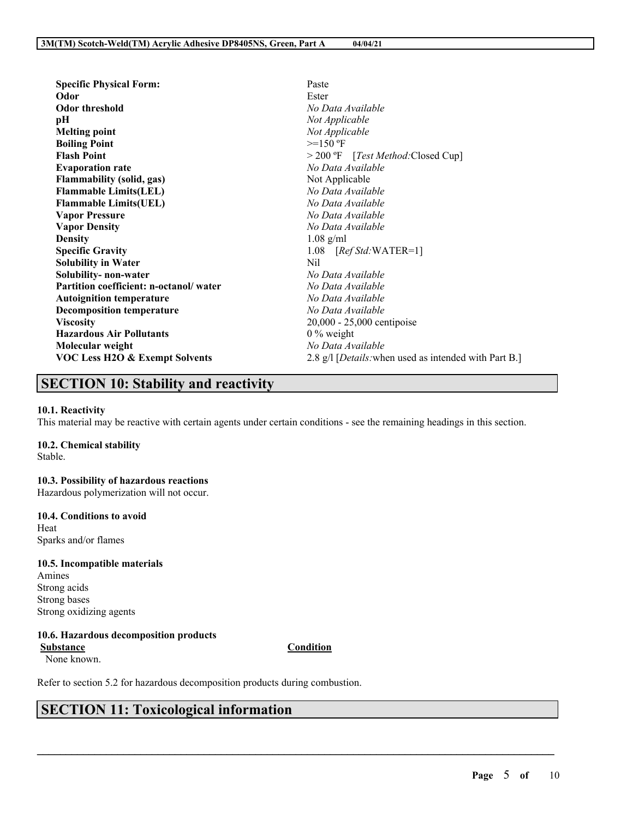**Specific Physical Form:** Paste **Odor** Ester **Odor threshold** *No Data Available* **pH** *Not Applicable* **Melting point** *Not Applicable* **Boiling Point** >=150 ºF **Flash Point**  $>$  200 °F [*Test Method:*Closed Cup] **Evaporation rate** *No Data Available* **Flammability** (solid, gas) Not Applicable **Flammable Limits(LEL)** *No Data Available* **Flammable Limits(UEL)** *No Data Available* **Vapor Pressure** *No Data Available* **Vapor Density** *No Data Available* **Density** 1.08 g/ml **Specific Gravity** 1.08 [*Ref Std:*WATER=1] **Solubility in Water** Nil **Solubility- non-water** *No Data Available* **Partition coefficient: n-octanol/ water** *No Data Available* **Autoignition temperature** *No Data Available* **Decomposition temperature** *No Data Available* **Viscosity** 20,000 - 25,000 centipoise **Hazardous Air Pollutants** 0 % weight **Molecular weight** *No Data Available* **VOC Less H2O & Exempt Solvents** 2.8 g/l [*Details:*when used as intended with Part B.]

# **SECTION 10: Stability and reactivity**

### **10.1. Reactivity**

This material may be reactive with certain agents under certain conditions - see the remaining headings in this section.

 $\mathcal{L}_\mathcal{L} = \mathcal{L}_\mathcal{L} = \mathcal{L}_\mathcal{L} = \mathcal{L}_\mathcal{L} = \mathcal{L}_\mathcal{L} = \mathcal{L}_\mathcal{L} = \mathcal{L}_\mathcal{L} = \mathcal{L}_\mathcal{L} = \mathcal{L}_\mathcal{L} = \mathcal{L}_\mathcal{L} = \mathcal{L}_\mathcal{L} = \mathcal{L}_\mathcal{L} = \mathcal{L}_\mathcal{L} = \mathcal{L}_\mathcal{L} = \mathcal{L}_\mathcal{L} = \mathcal{L}_\mathcal{L} = \mathcal{L}_\mathcal{L}$ 

# **10.2. Chemical stability**

Stable.

### **10.3. Possibility of hazardous reactions**

Hazardous polymerization will not occur.

**10.4. Conditions to avoid** Heat Sparks and/or flames

**10.5. Incompatible materials** Amines Strong acids Strong bases Strong oxidizing agents

### **10.6. Hazardous decomposition products**

**Substance Condition**

None known.

Refer to section 5.2 for hazardous decomposition products during combustion.

# **SECTION 11: Toxicological information**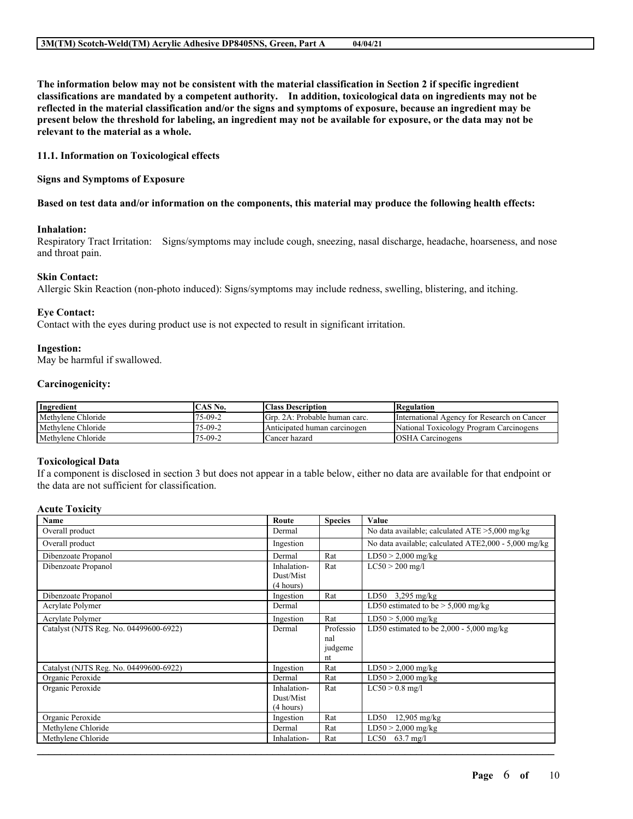The information below may not be consistent with the material classification in Section 2 if specific ingredient **classifications are mandated by a competent authority. In addition, toxicological data on ingredients may not be** reflected in the material classification and/or the signs and symptoms of exposure, because an ingredient may be present below the threshold for labeling, an ingredient may not be available for exposure, or the data may not be **relevant to the material as a whole.**

**11.1. Information on Toxicological effects**

**Signs and Symptoms of Exposure**

Based on test data and/or information on the components, this material may produce the following health effects:

### **Inhalation:**

Respiratory Tract Irritation: Signs/symptoms may include cough, sneezing, nasal discharge, headache, hoarseness, and nose and throat pain.

### **Skin Contact:**

Allergic Skin Reaction (non-photo induced): Signs/symptoms may include redness, swelling, blistering, and itching.

### **Eye Contact:**

Contact with the eyes during product use is not expected to result in significant irritation.

### **Ingestion:**

May be harmful if swallowed.

### **Carcinogenicity:**

| <b>Ingredient</b>  | CAS No.   | <b>Class Description</b>      | <b>Regulation</b>                           |
|--------------------|-----------|-------------------------------|---------------------------------------------|
| Methylene Chloride | $75-09-2$ | Grp. 2A: Probable human carc. | International Agency for Research on Cancer |
| Methylene Chloride | 75-09-2   | Anticipated human carcinogen  | National Toxicology Program Carcinogens     |
| Methylene Chloride | 75-09-2   | Cancer hazard                 | <b>OSHA</b> Carcinogens                     |

### **Toxicological Data**

If a component is disclosed in section 3 but does not appear in a table below, either no data are available for that endpoint or the data are not sufficient for classification.

### **Acute Toxicity**

| Name                                   | Route       | <b>Species</b> | Value                                                |
|----------------------------------------|-------------|----------------|------------------------------------------------------|
| Overall product                        | Dermal      |                | No data available; calculated $ATE > 5,000$ mg/kg    |
| Overall product                        | Ingestion   |                | No data available; calculated ATE2,000 - 5,000 mg/kg |
| Dibenzoate Propanol                    | Dermal      | Rat            | $LD50 > 2,000$ mg/kg                                 |
| Dibenzoate Propanol                    | Inhalation- | Rat            | $LC50 > 200$ mg/l                                    |
|                                        | Dust/Mist   |                |                                                      |
|                                        | (4 hours)   |                |                                                      |
| Dibenzoate Propanol                    | Ingestion   | Rat            | LD50 $3,295$ mg/kg                                   |
| Acrylate Polymer                       | Dermal      |                | LD50 estimated to be $> 5,000$ mg/kg                 |
| Acrylate Polymer                       | Ingestion   | Rat            | $LD50 > 5,000$ mg/kg                                 |
| Catalyst (NJTS Reg. No. 04499600-6922) | Dermal      | Professio      | LD50 estimated to be $2,000 - 5,000$ mg/kg           |
|                                        |             | nal            |                                                      |
|                                        |             | judgeme        |                                                      |
|                                        |             | nt             |                                                      |
| Catalyst (NJTS Reg. No. 04499600-6922) | Ingestion   | Rat            | $LD50 > 2,000$ mg/kg                                 |
| Organic Peroxide                       | Dermal      | Rat            | $LD50 > 2,000$ mg/kg                                 |
| Organic Peroxide                       | Inhalation- | Rat            | $LC50 > 0.8$ mg/l                                    |
|                                        | Dust/Mist   |                |                                                      |
|                                        | (4 hours)   |                |                                                      |
| Organic Peroxide                       | Ingestion   | Rat            | LD50<br>$12,905$ mg/kg                               |
| Methylene Chloride                     | Dermal      | Rat            | $LD50 > 2,000$ mg/kg                                 |
| Methylene Chloride                     | Inhalation- | Rat            | LC50<br>$63.7 \text{ mg}/1$                          |
|                                        |             |                |                                                      |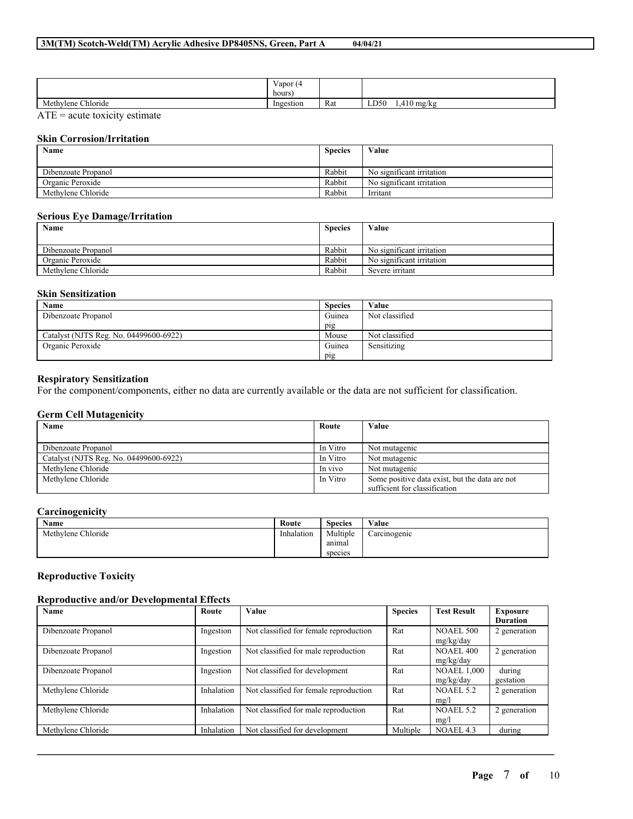|                         | $\mathbf{v}$<br>Vapor (4<br>hours |     |                           |
|-------------------------|-----------------------------------|-----|---------------------------|
| Chloride<br>Methylene ' | Ingestion                         | Rat | LD50<br>410<br>.410 mg/kg |

ATE = acute toxicity estimate

### **Skin Corrosion/Irritation**

| Name                | <b>Species</b> | Value                     |
|---------------------|----------------|---------------------------|
|                     |                |                           |
| Dibenzoate Propanol | Rabbit         | No significant irritation |
| Organic Peroxide    | Rabbit         | No significant irritation |
| Methylene Chloride  | Rabbit         | Irritant                  |

### **Serious Eye Damage/Irritation**

| Name                | <b>Species</b> | Value                     |
|---------------------|----------------|---------------------------|
| Dibenzoate Propanol | Rabbit         | No significant irritation |
| Organic Peroxide    | Rabbit         | No significant irritation |
| Methylene Chloride  | Rabbit         | Severe irritant           |

### **Skin Sensitization**

| Name                                   | <b>Species</b> | Value          |
|----------------------------------------|----------------|----------------|
| Dibenzoate Propanol                    | Guinea         | Not classified |
|                                        | pig            |                |
| Catalyst (NJTS Reg. No. 04499600-6922) | Mouse          | Not classified |
| Organic Peroxide                       | Guinea         | Sensitizing    |
|                                        | pig            |                |

### **Respiratory Sensitization**

For the component/components, either no data are currently available or the data are not sufficient for classification.

### **Germ Cell Mutagenicity**

| Name                                   | Route    | Value                                          |
|----------------------------------------|----------|------------------------------------------------|
|                                        |          |                                                |
| Dibenzoate Propanol                    | In Vitro | Not mutagenic                                  |
| Catalyst (NJTS Reg. No. 04499600-6922) | In Vitro | Not mutagenic                                  |
| Methylene Chloride                     | In vivo  | Not mutagenic                                  |
| Methylene Chloride                     | In Vitro | Some positive data exist, but the data are not |
|                                        |          | sufficient for classification                  |

## **Carcinogenicity**

| Name               | Route      | <b>Species</b> | Value        |
|--------------------|------------|----------------|--------------|
| Methylene Chloride | Inhalation | Multiple       | Carcinogenic |
|                    |            | animal         |              |
|                    |            | species        |              |

### **Reproductive Toxicity**

### **Reproductive and/or Developmental Effects**

| Name                | Route      | Value                                  | <b>Species</b> | <b>Test Result</b> | <b>Exposure</b> |
|---------------------|------------|----------------------------------------|----------------|--------------------|-----------------|
|                     |            |                                        |                |                    | <b>Duration</b> |
| Dibenzoate Propanol | Ingestion  | Not classified for female reproduction | Rat            | <b>NOAEL 500</b>   | 2 generation    |
|                     |            |                                        |                | mg/kg/day          |                 |
| Dibenzoate Propanol | Ingestion  | Not classified for male reproduction   | Rat            | <b>NOAEL 400</b>   | 2 generation    |
|                     |            |                                        |                | mg/kg/day          |                 |
| Dibenzoate Propanol | Ingestion  | Not classified for development         | Rat            | <b>NOAEL 1,000</b> | during          |
|                     |            |                                        |                | mg/kg/day          | gestation       |
| Methylene Chloride  | Inhalation | Not classified for female reproduction | Rat            | NOAEL 5.2          | 2 generation    |
|                     |            |                                        |                | mg/l               |                 |
| Methylene Chloride  | Inhalation | Not classified for male reproduction   | Rat            | NOAEL 5.2          | 2 generation    |
|                     |            |                                        |                | mg/l               |                 |
| Methylene Chloride  | Inhalation | Not classified for development         | Multiple       | NOAEL 4.3          | during          |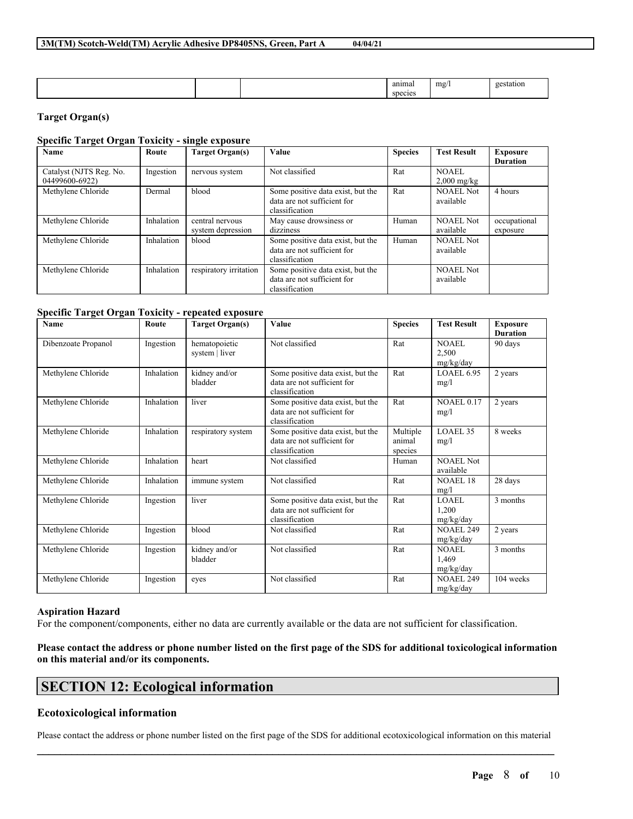## **Target Organ(s)**

### **Specific Target Organ Toxicity - single exposure**

| Name                                      | Route      | Target Organ(s)                      | <b>Value</b>                                                                       | <b>Species</b> | <b>Test Result</b>            | <b>Exposure</b><br><b>Duration</b> |
|-------------------------------------------|------------|--------------------------------------|------------------------------------------------------------------------------------|----------------|-------------------------------|------------------------------------|
| Catalyst (NJTS Reg. No.<br>04499600-6922) | Ingestion  | nervous system                       | Not classified                                                                     | Rat            | NOAEL<br>$2,000$ mg/kg        |                                    |
| Methylene Chloride                        | Dermal     | blood                                | Some positive data exist, but the<br>data are not sufficient for<br>classification | Rat            | <b>NOAEL Not</b><br>available | 4 hours                            |
| Methylene Chloride                        | Inhalation | central nervous<br>system depression | May cause drowsiness or<br>dizziness                                               | Human          | <b>NOAEL Not</b><br>available | occupational<br>exposure           |
| Methylene Chloride                        | Inhalation | blood                                | Some positive data exist, but the<br>data are not sufficient for<br>classification | Human          | <b>NOAEL Not</b><br>available |                                    |
| Methylene Chloride                        | Inhalation | respiratory irritation               | Some positive data exist, but the<br>data are not sufficient for<br>classification |                | <b>NOAEL Not</b><br>available |                                    |

### **Specific Target Organ Toxicity - repeated exposure**

| Name                | Route      | <b>Target Organ(s)</b>          | Value                                                                              | <b>Species</b>                | <b>Test Result</b>            | <b>Exposure</b><br><b>Duration</b> |
|---------------------|------------|---------------------------------|------------------------------------------------------------------------------------|-------------------------------|-------------------------------|------------------------------------|
| Dibenzoate Propanol | Ingestion  | hematopoietic<br>system   liver | Not classified                                                                     | Rat                           | NOAEL<br>2,500<br>mg/kg/day   | 90 days                            |
| Methylene Chloride  | Inhalation | kidney and/or<br>bladder        | Some positive data exist, but the<br>data are not sufficient for<br>classification | Rat                           | LOAEL 6.95<br>mg/l            | 2 years                            |
| Methylene Chloride  | Inhalation | liver                           | Some positive data exist, but the<br>data are not sufficient for<br>classification | Rat                           | <b>NOAEL 0.17</b><br>mg/l     | 2 years                            |
| Methylene Chloride  | Inhalation | respiratory system              | Some positive data exist, but the<br>data are not sufficient for<br>classification | Multiple<br>animal<br>species | LOAEL 35<br>mg/l              | 8 weeks                            |
| Methylene Chloride  | Inhalation | heart                           | Not classified                                                                     | Human                         | NOAEL Not<br>available        |                                    |
| Methylene Chloride  | Inhalation | immune system                   | Not classified                                                                     | Rat                           | NOAEL 18<br>mg/l              | 28 days                            |
| Methylene Chloride  | Ingestion  | liver                           | Some positive data exist, but the<br>data are not sufficient for<br>classification | Rat                           | LOAEL<br>1,200<br>mg/kg/day   | 3 months                           |
| Methylene Chloride  | Ingestion  | blood                           | Not classified                                                                     | Rat                           | <b>NOAEL 249</b><br>mg/kg/day | 2 years                            |
| Methylene Chloride  | Ingestion  | kidney and/or<br>bladder        | Not classified                                                                     | Rat                           | NOAEL.<br>1,469<br>mg/kg/day  | 3 months                           |
| Methylene Chloride  | Ingestion  | eyes                            | Not classified                                                                     | Rat                           | <b>NOAEL 249</b><br>mg/kg/day | 104 weeks                          |

### **Aspiration Hazard**

For the component/components, either no data are currently available or the data are not sufficient for classification.

### Please contact the address or phone number listed on the first page of the SDS for additional toxicological information **on this material and/or its components.**

# **SECTION 12: Ecological information**

### **Ecotoxicological information**

 $\mathcal{L}_\mathcal{L} = \mathcal{L}_\mathcal{L} = \mathcal{L}_\mathcal{L} = \mathcal{L}_\mathcal{L} = \mathcal{L}_\mathcal{L} = \mathcal{L}_\mathcal{L} = \mathcal{L}_\mathcal{L} = \mathcal{L}_\mathcal{L} = \mathcal{L}_\mathcal{L} = \mathcal{L}_\mathcal{L} = \mathcal{L}_\mathcal{L} = \mathcal{L}_\mathcal{L} = \mathcal{L}_\mathcal{L} = \mathcal{L}_\mathcal{L} = \mathcal{L}_\mathcal{L} = \mathcal{L}_\mathcal{L} = \mathcal{L}_\mathcal{L}$ Please contact the address or phone number listed on the first page of the SDS for additional ecotoxicological information on this material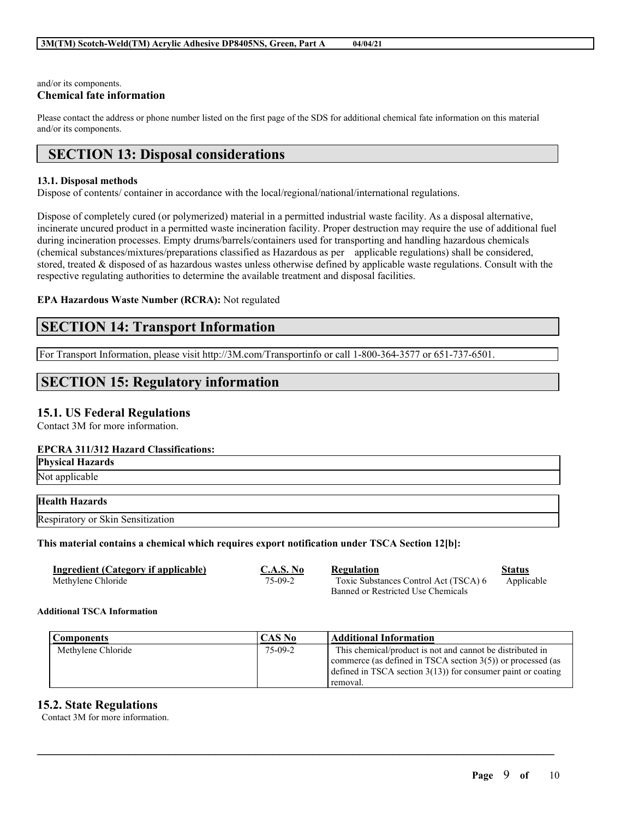and/or its components. **Chemical fate information**

Please contact the address or phone number listed on the first page of the SDS for additional chemical fate information on this material and/or its components.

# **SECTION 13: Disposal considerations**

### **13.1. Disposal methods**

Dispose of contents/ container in accordance with the local/regional/national/international regulations.

Dispose of completely cured (or polymerized) material in a permitted industrial waste facility. As a disposal alternative, incinerate uncured product in a permitted waste incineration facility. Proper destruction may require the use of additional fuel during incineration processes. Empty drums/barrels/containers used for transporting and handling hazardous chemicals (chemical substances/mixtures/preparations classified as Hazardous as per applicable regulations) shall be considered, stored, treated & disposed of as hazardous wastes unless otherwise defined by applicable waste regulations. Consult with the respective regulating authorities to determine the available treatment and disposal facilities.

### **EPA Hazardous Waste Number (RCRA):** Not regulated

# **SECTION 14: Transport Information**

For Transport Information, please visit http://3M.com/Transportinfo or call 1-800-364-3577 or 651-737-6501.

# **SECTION 15: Regulatory information**

### **15.1. US Federal Regulations**

Contact 3M for more information.

### **EPCRA 311/312 Hazard Classifications:**

**Physical Hazards**

Not applicable

### **Health Hazards**

Respiratory or Skin Sensitization

**This material contains a chemical which requires export notification under TSCA Section 12[b]:**

| Ingredient (Category if applicable) | $C.A.S.$ No | Regulation                            | Status     |
|-------------------------------------|-------------|---------------------------------------|------------|
| Methylene Chloride                  | 75-09-2     | Toxic Substances Control Act (TSCA) 6 | Applicable |
|                                     |             | Banned or Restricted Use Chemicals    |            |

#### **Additional TSCA Information**

| <b>Components</b>  | CAS No  | <b>Additional Information</b>                                                                                                                                                                            |
|--------------------|---------|----------------------------------------------------------------------------------------------------------------------------------------------------------------------------------------------------------|
| Methylene Chloride | 75-09-2 | This chemical/product is not and cannot be distributed in<br>commerce (as defined in TSCA section $3(5)$ ) or processed (as<br>defined in TSCA section $3(13)$ for consumer paint or coating<br>removal. |

 $\mathcal{L}_\mathcal{L} = \mathcal{L}_\mathcal{L} = \mathcal{L}_\mathcal{L} = \mathcal{L}_\mathcal{L} = \mathcal{L}_\mathcal{L} = \mathcal{L}_\mathcal{L} = \mathcal{L}_\mathcal{L} = \mathcal{L}_\mathcal{L} = \mathcal{L}_\mathcal{L} = \mathcal{L}_\mathcal{L} = \mathcal{L}_\mathcal{L} = \mathcal{L}_\mathcal{L} = \mathcal{L}_\mathcal{L} = \mathcal{L}_\mathcal{L} = \mathcal{L}_\mathcal{L} = \mathcal{L}_\mathcal{L} = \mathcal{L}_\mathcal{L}$ 

### **15.2. State Regulations**

Contact 3M for more information.